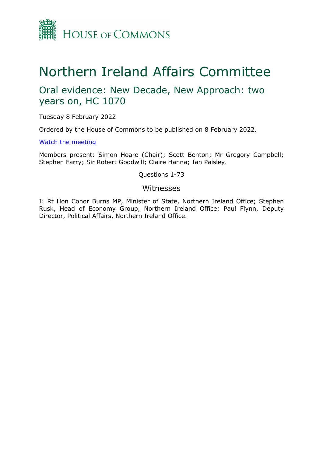

# Northern Ireland Affairs Committee

# Oral evidence: New Decade, New Approach: two years on, HC 1070

Tuesday 8 February 2022

Ordered by the House of Commons to be published on 8 February 2022.

[Watch](https://parliamentlive.tv/event/index/c68147f4-a972-4bd9-a83a-dcd5c86ee6ed) [the](https://parliamentlive.tv/event/index/c68147f4-a972-4bd9-a83a-dcd5c86ee6ed) [meeting](https://parliamentlive.tv/event/index/c68147f4-a972-4bd9-a83a-dcd5c86ee6ed)

Members present: Simon Hoare (Chair); Scott Benton; Mr Gregory Campbell; Stephen Farry; Sir Robert Goodwill; Claire Hanna; Ian Paisley.

Questions 1-73

## Witnesses

I: Rt Hon Conor Burns MP, Minister of State, Northern Ireland Office; Stephen Rusk, Head of Economy Group, Northern Ireland Office; Paul Flynn, Deputy Director, Political Affairs, Northern Ireland Office.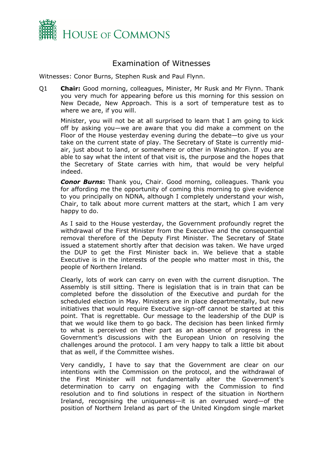

# Examination of Witnesses

Witnesses: Conor Burns, Stephen Rusk and Paul Flynn.

Q1 **Chair:** Good morning, colleagues, Minister, Mr Rusk and Mr Flynn. Thank you very much for appearing before us this morning for this session on New Decade, New Approach. This is a sort of temperature test as to where we are, if you will.

Minister, you will not be at all surprised to learn that I am going to kick off by asking you—we are aware that you did make a comment on the Floor of the House yesterday evening during the debate—to give us your take on the current state of play. The Secretary of State is currently midair, just about to land, or somewhere or other in Washington. If you are able to say what the intent of that visit is, the purpose and the hopes that the Secretary of State carries with him, that would be very helpful indeed.

*Conor Burns***:** Thank you, Chair. Good morning, colleagues. Thank you for affording me the opportunity of coming this morning to give evidence to you principally on NDNA, although I completely understand your wish, Chair, to talk about more current matters at the start, which I am very happy to do.

As I said to the House yesterday, the Government profoundly regret the withdrawal of the First Minister from the Executive and the consequential removal therefore of the Deputy First Minister. The Secretary of State issued a statement shortly after that decision was taken. We have urged the DUP to get the First Minister back in. We believe that a stable Executive is in the interests of the people who matter most in this, the people of Northern Ireland.

Clearly, lots of work can carry on even with the current disruption. The Assembly is still sitting. There is legislation that is in train that can be completed before the dissolution of the Executive and purdah for the scheduled election in May. Ministers are in place departmentally, but new initiatives that would require Executive sign-off cannot be started at this point. That is regrettable. Our message to the leadership of the DUP is that we would like them to go back. The decision has been linked firmly to what is perceived on their part as an absence of progress in the Government's discussions with the European Union on resolving the challenges around the protocol. I am very happy to talk a little bit about that as well, if the Committee wishes.

Very candidly, I have to say that the Government are clear on our intentions with the Commission on the protocol, and the withdrawal of the First Minister will not fundamentally alter the Government's determination to carry on engaging with the Commission to find resolution and to find solutions in respect of the situation in Northern Ireland, recognising the uniqueness—it is an overused word—of the position of Northern Ireland as part of the United Kingdom single market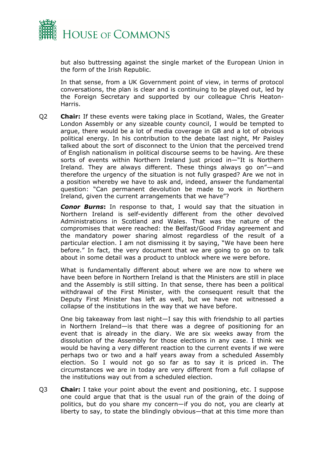

but also buttressing against the single market of the European Union in the form of the Irish Republic.

In that sense, from a UK Government point of view, in terms of protocol conversations, the plan is clear and is continuing to be played out, led by the Foreign Secretary and supported by our colleague Chris Heaton-Harris.

Q2 **Chair:** If these events were taking place in Scotland, Wales, the Greater London Assembly or any sizeable county council, I would be tempted to argue, there would be a lot of media coverage in GB and a lot of obvious political energy. In his contribution to the debate last night, Mr Paisley talked about the sort of disconnect to the Union that the perceived trend of English nationalism in political discourse seems to be having. Are these sorts of events within Northern Ireland just priced in—"It is Northern Ireland. They are always different. These things always go on"—and therefore the urgency of the situation is not fully grasped? Are we not in a position whereby we have to ask and, indeed, answer the fundamental question: "Can permanent devolution be made to work in Northern Ireland, given the current arrangements that we have"?

*Conor Burns***:** In response to that, I would say that the situation in Northern Ireland is self-evidently different from the other devolved Administrations in Scotland and Wales. That was the nature of the compromises that were reached: the Belfast/Good Friday agreement and the mandatory power sharing almost regardless of the result of a particular election. I am not dismissing it by saying, "We have been here before." In fact, the very document that we are going to go on to talk about in some detail was a product to unblock where we were before.

What is fundamentally different about where we are now to where we have been before in Northern Ireland is that the Ministers are still in place and the Assembly is still sitting. In that sense, there has been a political withdrawal of the First Minister, with the consequent result that the Deputy First Minister has left as well, but we have not witnessed a collapse of the institutions in the way that we have before.

One big takeaway from last night—I say this with friendship to all parties in Northern Ireland—is that there was a degree of positioning for an event that is already in the diary. We are six weeks away from the dissolution of the Assembly for those elections in any case. I think we would be having a very different reaction to the current events if we were perhaps two or two and a half years away from a scheduled Assembly election. So I would not go so far as to say it is priced in. The circumstances we are in today are very different from a full collapse of the institutions way out from a scheduled election.

Q3 **Chair:** I take your point about the event and positioning, etc. I suppose one could argue that that is the usual run of the grain of the doing of politics, but do you share my concern—if you do not, you are clearly at liberty to say, to state the blindingly obvious—that at this time more than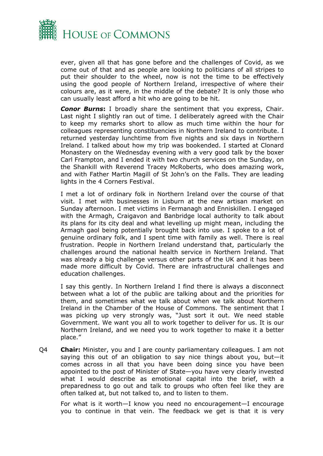

ever, given all that has gone before and the challenges of Covid, as we come out of that and as people are looking to politicians of all stripes to put their shoulder to the wheel, now is not the time to be effectively using the good people of Northern Ireland, irrespective of where their colours are, as it were, in the middle of the debate? It is only those who can usually least afford a hit who are going to be hit.

*Conor Burns***:** I broadly share the sentiment that you express, Chair. Last night I slightly ran out of time. I deliberately agreed with the Chair to keep my remarks short to allow as much time within the hour for colleagues representing constituencies in Northern Ireland to contribute. I returned yesterday lunchtime from five nights and six days in Northern Ireland. I talked about how my trip was bookended. I started at Clonard Monastery on the Wednesday evening with a very good talk by the boxer Carl Frampton, and I ended it with two church services on the Sunday, on the Shankill with Reverend Tracey McRoberts, who does amazing work, and with Father Martin Magill of St John's on the Falls. They are leading lights in the 4 Corners Festival.

I met a lot of ordinary folk in Northern Ireland over the course of that visit. I met with businesses in Lisburn at the new artisan market on Sunday afternoon. I met victims in Fermanagh and Enniskillen. I engaged with the Armagh, Craigavon and Banbridge local authority to talk about its plans for its city deal and what levelling up might mean, including the Armagh gaol being potentially brought back into use. I spoke to a lot of genuine ordinary folk, and I spent time with family as well. There is real frustration. People in Northern Ireland understand that, particularly the challenges around the national health service in Northern Ireland. That was already a big challenge versus other parts of the UK and it has been made more difficult by Covid. There are infrastructural challenges and education challenges.

I say this gently. In Northern Ireland I find there is always a disconnect between what a lot of the public are talking about and the priorities for them, and sometimes what we talk about when we talk about Northern Ireland in the Chamber of the House of Commons. The sentiment that I was picking up very strongly was, "Just sort it out. We need stable Government. We want you all to work together to deliver for us. It is our Northern Ireland, and we need you to work together to make it a better place."

Q4 **Chair:** Minister, you and I are county parliamentary colleagues. I am not saying this out of an obligation to say nice things about you, but—it comes across in all that you have been doing since you have been appointed to the post of Minister of State—you have very clearly invested what I would describe as emotional capital into the brief, with a preparedness to go out and talk to groups who often feel like they are often talked at, but not talked to, and to listen to them.

For what is it worth—I know you need no encouragement—I encourage you to continue in that vein. The feedback we get is that it is very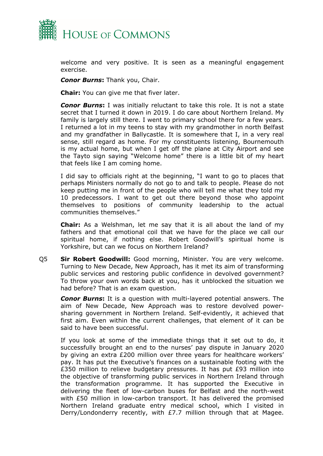

welcome and very positive. It is seen as a meaningful engagement exercise.

*Conor Burns***:** Thank you, Chair.

**Chair:** You can give me that fiver later.

*Conor Burns***:** I was initially reluctant to take this role. It is not a state secret that I turned it down in 2019. I do care about Northern Ireland. My family is largely still there. I went to primary school there for a few years. I returned a lot in my teens to stay with my grandmother in north Belfast and my grandfather in Ballycastle. It is somewhere that I, in a very real sense, still regard as home. For my constituents listening, Bournemouth is my actual home, but when I get off the plane at City Airport and see the Tayto sign saying "Welcome home" there is a little bit of my heart that feels like I am coming home.

I did say to officials right at the beginning, "I want to go to places that perhaps Ministers normally do not go to and talk to people. Please do not keep putting me in front of the people who will tell me what they told my 10 predecessors. I want to get out there beyond those who appoint themselves to positions of community leadership to the actual communities themselves."

**Chair:** As a Welshman, let me say that it is all about the land of my fathers and that emotional coil that we have for the place we call our spiritual home, if nothing else. Robert Goodwill's spiritual home is Yorkshire, but can we focus on Northern Ireland?

Q5 **Sir Robert Goodwill:** Good morning, Minister. You are very welcome. Turning to New Decade, New Approach, has it met its aim of transforming public services and restoring public confidence in devolved government? To throw your own words back at you, has it unblocked the situation we had before? That is an exam question.

*Conor Burns***:** It is a question with multi-layered potential answers. The aim of New Decade, New Approach was to restore devolved powersharing government in Northern Ireland. Self-evidently, it achieved that first aim. Even within the current challenges, that element of it can be said to have been successful.

If you look at some of the immediate things that it set out to do, it successfully brought an end to the nurses' pay dispute in January 2020 by giving an extra £200 million over three years for healthcare workers' pay. It has put the Executive's finances on a sustainable footing with the £350 million to relieve budgetary pressures. It has put £93 million into the objective of transforming public services in Northern Ireland through the transformation programme. It has supported the Executive in delivering the fleet of low-carbon buses for Belfast and the north-west with £50 million in low-carbon transport. It has delivered the promised Northern Ireland graduate entry medical school, which I visited in Derry/Londonderry recently, with £7.7 million through that at Magee.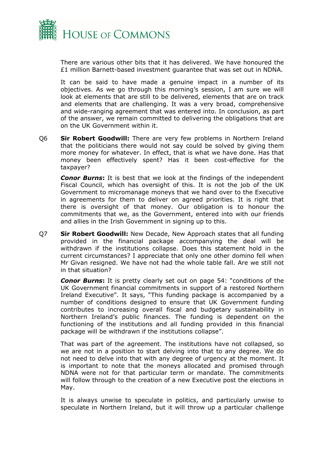

There are various other bits that it has delivered. We have honoured the £1 million Barnett-based investment guarantee that was set out in NDNA.

It can be said to have made a genuine impact in a number of its objectives. As we go through this morning's session, I am sure we will look at elements that are still to be delivered, elements that are on track and elements that are challenging. It was a very broad, comprehensive and wide-ranging agreement that was entered into. In conclusion, as part of the answer, we remain committed to delivering the obligations that are on the UK Government within it.

Q6 **Sir Robert Goodwill:** There are very few problems in Northern Ireland that the politicians there would not say could be solved by giving them more money for whatever. In effect, that is what we have done. Has that money been effectively spent? Has it been cost-effective for the taxpayer?

*Conor Burns***:** It is best that we look at the findings of the independent Fiscal Council, which has oversight of this. It is not the job of the UK Government to micromanage moneys that we hand over to the Executive in agreements for them to deliver on agreed priorities. It is right that there is oversight of that money. Our obligation is to honour the commitments that we, as the Government, entered into with our friends and allies in the Irish Government in signing up to this.

Q7 **Sir Robert Goodwill:** New Decade, New Approach states that all funding provided in the financial package accompanying the deal will be withdrawn if the institutions collapse. Does this statement hold in the current circumstances? I appreciate that only one other domino fell when Mr Givan resigned. We have not had the whole table fall. Are we still not in that situation?

*Conor Burns***:** It is pretty clearly set out on page 54: "conditions of the UK Government financial commitments in support of a restored Northern Ireland Executive". It says, "This funding package is accompanied by a number of conditions designed to ensure that UK Government funding contributes to increasing overall fiscal and budgetary sustainability in Northern Ireland's public finances. The funding is dependent on the functioning of the institutions and all funding provided in this financial package will be withdrawn if the institutions collapse".

That was part of the agreement. The institutions have not collapsed, so we are not in a position to start delving into that to any degree. We do not need to delve into that with any degree of urgency at the moment. It is important to note that the moneys allocated and promised through NDNA were not for that particular term or mandate. The commitments will follow through to the creation of a new Executive post the elections in May.

It is always unwise to speculate in politics, and particularly unwise to speculate in Northern Ireland, but it will throw up a particular challenge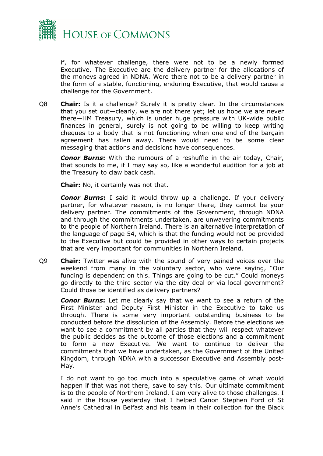

if, for whatever challenge, there were not to be a newly formed Executive. The Executive are the delivery partner for the allocations of the moneys agreed in NDNA. Were there not to be a delivery partner in the form of a stable, functioning, enduring Executive, that would cause a challenge for the Government.

Q8 **Chair:** Is it a challenge? Surely it is pretty clear. In the circumstances that you set out—clearly, we are not there yet; let us hope we are never there—HM Treasury, which is under huge pressure with UK-wide public finances in general, surely is not going to be willing to keep writing cheques to a body that is not functioning when one end of the bargain agreement has fallen away. There would need to be some clear messaging that actions and decisions have consequences.

*Conor Burns***:** With the rumours of a reshuffle in the air today, Chair, that sounds to me, if I may say so, like a wonderful audition for a job at the Treasury to claw back cash.

**Chair:** No, it certainly was not that.

*Conor Burns***:** I said it would throw up a challenge. If your delivery partner, for whatever reason, is no longer there, they cannot be your delivery partner. The commitments of the Government, through NDNA and through the commitments undertaken, are unwavering commitments to the people of Northern Ireland. There is an alternative interpretation of the language of page 54, which is that the funding would not be provided to the Executive but could be provided in other ways to certain projects that are very important for communities in Northern Ireland.

Q9 **Chair:** Twitter was alive with the sound of very pained voices over the weekend from many in the voluntary sector, who were saying, "Our funding is dependent on this. Things are going to be cut." Could moneys go directly to the third sector via the city deal or via local government? Could those be identified as delivery partners?

*Conor Burns***:** Let me clearly say that we want to see a return of the First Minister and Deputy First Minister in the Executive to take us through. There is some very important outstanding business to be conducted before the dissolution of the Assembly. Before the elections we want to see a commitment by all parties that they will respect whatever the public decides as the outcome of those elections and a commitment to form a new Executive. We want to continue to deliver the commitments that we have undertaken, as the Government of the United Kingdom, through NDNA with a successor Executive and Assembly post-May.

I do not want to go too much into a speculative game of what would happen if that was not there, save to say this. Our ultimate commitment is to the people of Northern Ireland. I am very alive to those challenges. I said in the House yesterday that I helped Canon Stephen Ford of St Anne's Cathedral in Belfast and his team in their collection for the Black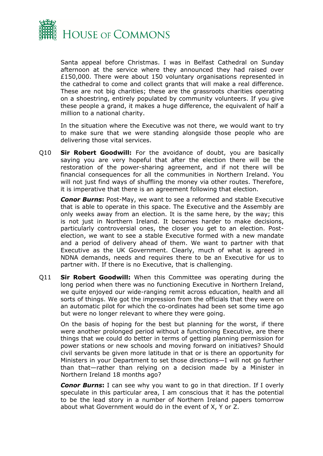

Santa appeal before Christmas. I was in Belfast Cathedral on Sunday afternoon at the service where they announced they had raised over £150,000. There were about 150 voluntary organisations represented in the cathedral to come and collect grants that will make a real difference. These are not big charities; these are the grassroots charities operating on a shoestring, entirely populated by community volunteers. If you give these people a grand, it makes a huge difference, the equivalent of half a million to a national charity.

In the situation where the Executive was not there, we would want to try to make sure that we were standing alongside those people who are delivering those vital services.

Q10 **Sir Robert Goodwill:** For the avoidance of doubt, you are basically saying you are very hopeful that after the election there will be the restoration of the power-sharing agreement, and if not there will be financial consequences for all the communities in Northern Ireland. You will not just find ways of shuffling the money via other routes. Therefore, it is imperative that there is an agreement following that election.

*Conor Burns***:** Post-May, we want to see a reformed and stable Executive that is able to operate in this space. The Executive and the Assembly are only weeks away from an election. It is the same here, by the way; this is not just in Northern Ireland. It becomes harder to make decisions, particularly controversial ones, the closer you get to an election. Postelection, we want to see a stable Executive formed with a new mandate and a period of delivery ahead of them. We want to partner with that Executive as the UK Government. Clearly, much of what is agreed in NDNA demands, needs and requires there to be an Executive for us to partner with. If there is no Executive, that is challenging.

Q11 **Sir Robert Goodwill:** When this Committee was operating during the long period when there was no functioning Executive in Northern Ireland, we quite enjoyed our wide-ranging remit across education, health and all sorts of things. We got the impression from the officials that they were on an automatic pilot for which the co-ordinates had been set some time ago but were no longer relevant to where they were going.

On the basis of hoping for the best but planning for the worst, if there were another prolonged period without a functioning Executive, are there things that we could do better in terms of getting planning permission for power stations or new schools and moving forward on initiatives? Should civil servants be given more latitude in that or is there an opportunity for Ministers in your Department to set those directions—I will not go further than that—rather than relying on a decision made by a Minister in Northern Ireland 18 months ago?

*Conor Burns***:** I can see why you want to go in that direction. If I overly speculate in this particular area, I am conscious that it has the potential to be the lead story in a number of Northern Ireland papers tomorrow about what Government would do in the event of X, Y or Z.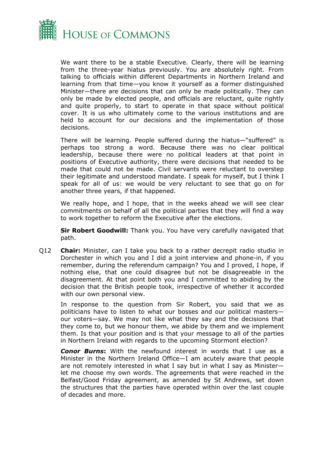

We want there to be a stable Executive. Clearly, there will be learning from the three-year hiatus previously. You are absolutely right. From talking to officials within different Departments in Northern Ireland and learning from that time—you know it yourself as a former distinguished Minister—there are decisions that can only be made politically. They can only be made by elected people, and officials are reluctant, quite rightly and quite properly, to start to operate in that space without political cover. It is us who ultimately come to the various institutions and are held to account for our decisions and the implementation of those decisions.

There will be learning. People suffered during the hiatus—"suffered" is perhaps too strong a word. Because there was no clear political leadership, because there were no political leaders at that point in positions of Executive authority, there were decisions that needed to be made that could not be made. Civil servants were reluctant to overstep their legitimate and understood mandate. I speak for myself, but I think I speak for all of us: we would be very reluctant to see that go on for another three years, if that happened.

We really hope, and I hope, that in the weeks ahead we will see clear commitments on behalf of all the political parties that they will find a way to work together to reform the Executive after the elections.

**Sir Robert Goodwill:** Thank you. You have very carefully navigated that path.

Q12 **Chair:** Minister, can I take you back to a rather decrepit radio studio in Dorchester in which you and I did a joint interview and phone-in, if you remember, during the referendum campaign? You and I proved, I hope, if nothing else, that one could disagree but not be disagreeable in the disagreement. At that point both you and I committed to abiding by the decision that the British people took, irrespective of whether it accorded with our own personal view.

In response to the question from Sir Robert, you said that we as politicians have to listen to what our bosses and our political masters our voters—say. We may not like what they say and the decisions that they come to, but we honour them, we abide by them and we implement them. Is that your position and is that your message to all of the parties in Northern Ireland with regards to the upcoming Stormont election?

*Conor Burns***:** With the newfound interest in words that I use as a Minister in the Northern Ireland Office—I am acutely aware that people are not remotely interested in what I say but in what I say as Minister let me choose my own words. The agreements that were reached in the Belfast/Good Friday agreement, as amended by St Andrews, set down the structures that the parties have operated within over the last couple of decades and more.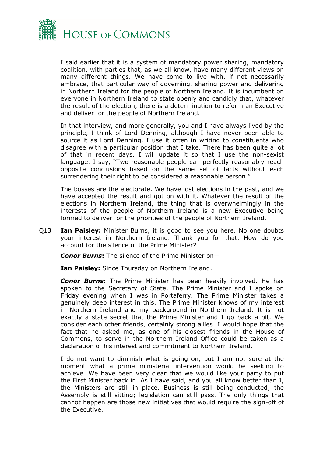

I said earlier that it is a system of mandatory power sharing, mandatory coalition, with parties that, as we all know, have many different views on many different things. We have come to live with, if not necessarily embrace, that particular way of governing, sharing power and delivering in Northern Ireland for the people of Northern Ireland. It is incumbent on everyone in Northern Ireland to state openly and candidly that, whatever the result of the election, there is a determination to reform an Executive and deliver for the people of Northern Ireland.

In that interview, and more generally, you and I have always lived by the principle, I think of Lord Denning, although I have never been able to source it as Lord Denning. I use it often in writing to constituents who disagree with a particular position that I take. There has been quite a lot of that in recent days. I will update it so that I use the non-sexist language. I say, "Two reasonable people can perfectly reasonably reach opposite conclusions based on the same set of facts without each surrendering their right to be considered a reasonable person."

The bosses are the electorate. We have lost elections in the past, and we have accepted the result and got on with it. Whatever the result of the elections in Northern Ireland, the thing that is overwhelmingly in the interests of the people of Northern Ireland is a new Executive being formed to deliver for the priorities of the people of Northern Ireland.

Q13 **Ian Paisley:** Minister Burns, it is good to see you here. No one doubts your interest in Northern Ireland. Thank you for that. How do you account for the silence of the Prime Minister?

*Conor Burns***:** The silence of the Prime Minister on—

**Ian Paisley:** Since Thursday on Northern Ireland.

*Conor Burns***:** The Prime Minister has been heavily involved. He has spoken to the Secretary of State. The Prime Minister and I spoke on Friday evening when I was in Portaferry. The Prime Minister takes a genuinely deep interest in this. The Prime Minister knows of my interest in Northern Ireland and my background in Northern Ireland. It is not exactly a state secret that the Prime Minister and I go back a bit. We consider each other friends, certainly strong allies. I would hope that the fact that he asked me, as one of his closest friends in the House of Commons, to serve in the Northern Ireland Office could be taken as a declaration of his interest and commitment to Northern Ireland.

I do not want to diminish what is going on, but I am not sure at the moment what a prime ministerial intervention would be seeking to achieve. We have been very clear that we would like your party to put the First Minister back in. As I have said, and you all know better than I, the Ministers are still in place. Business is still being conducted; the Assembly is still sitting; legislation can still pass. The only things that cannot happen are those new initiatives that would require the sign-off of the Executive.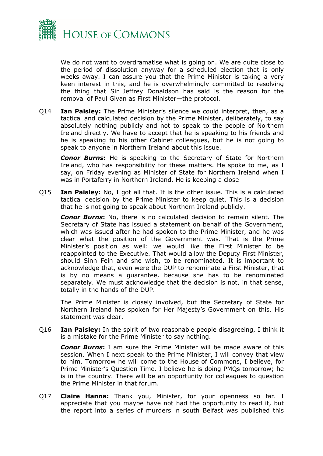

We do not want to overdramatise what is going on. We are quite close to the period of dissolution anyway for a scheduled election that is only weeks away. I can assure you that the Prime Minister is taking a very keen interest in this, and he is overwhelmingly committed to resolving the thing that Sir Jeffrey Donaldson has said is the reason for the removal of Paul Givan as First Minister—the protocol.

Q14 **Ian Paisley:** The Prime Minister's silence we could interpret, then, as a tactical and calculated decision by the Prime Minister, deliberately, to say absolutely nothing publicly and not to speak to the people of Northern Ireland directly. We have to accept that he is speaking to his friends and he is speaking to his other Cabinet colleagues, but he is not going to speak to anyone in Northern Ireland about this issue.

*Conor Burns***:** He is speaking to the Secretary of State for Northern Ireland, who has responsibility for these matters. He spoke to me, as I say, on Friday evening as Minister of State for Northern Ireland when I was in Portaferry in Northern Ireland. He is keeping a close—

Q15 **Ian Paisley:** No, I got all that. It is the other issue. This is a calculated tactical decision by the Prime Minister to keep quiet. This is a decision that he is not going to speak about Northern Ireland publicly.

*Conor Burns***:** No, there is no calculated decision to remain silent. The Secretary of State has issued a statement on behalf of the Government, which was issued after he had spoken to the Prime Minister, and he was clear what the position of the Government was. That is the Prime Minister's position as well: we would like the First Minister to be reappointed to the Executive. That would allow the Deputy First Minister, should Sinn Féin and she wish, to be renominated. It is important to acknowledge that, even were the DUP to renominate a First Minister, that is by no means a guarantee, because she has to be renominated separately. We must acknowledge that the decision is not, in that sense, totally in the hands of the DUP.

The Prime Minister is closely involved, but the Secretary of State for Northern Ireland has spoken for Her Majesty's Government on this. His statement was clear.

Q16 **Ian Paisley:** In the spirit of two reasonable people disagreeing, I think it is a mistake for the Prime Minister to say nothing.

*Conor Burns***:** I am sure the Prime Minister will be made aware of this session. When I next speak to the Prime Minister, I will convey that view to him. Tomorrow he will come to the House of Commons, I believe, for Prime Minister's Question Time. I believe he is doing PMQs tomorrow; he is in the country. There will be an opportunity for colleagues to question the Prime Minister in that forum.

Q17 **Claire Hanna:** Thank you, Minister, for your openness so far. I appreciate that you maybe have not had the opportunity to read it, but the report into a series of murders in south Belfast was published this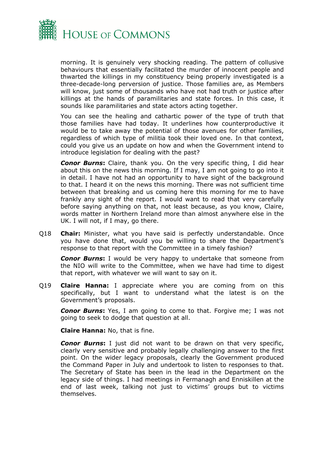

morning. It is genuinely very shocking reading. The pattern of collusive behaviours that essentially facilitated the murder of innocent people and thwarted the killings in my constituency being properly investigated is a three-decade-long perversion of justice. Those families are, as Members will know, just some of thousands who have not had truth or justice after killings at the hands of paramilitaries and state forces. In this case, it sounds like paramilitaries and state actors acting together.

You can see the healing and cathartic power of the type of truth that those families have had today. It underlines how counterproductive it would be to take away the potential of those avenues for other families, regardless of which type of militia took their loved one. In that context, could you give us an update on how and when the Government intend to introduce legislation for dealing with the past?

*Conor Burns***:** Claire, thank you. On the very specific thing, I did hear about this on the news this morning. If I may, I am not going to go into it in detail. I have not had an opportunity to have sight of the background to that. I heard it on the news this morning. There was not sufficient time between that breaking and us coming here this morning for me to have frankly any sight of the report. I would want to read that very carefully before saying anything on that, not least because, as you know, Claire, words matter in Northern Ireland more than almost anywhere else in the UK. I will not, if I may, go there.

Q18 **Chair:** Minister, what you have said is perfectly understandable. Once you have done that, would you be willing to share the Department's response to that report with the Committee in a timely fashion?

*Conor Burns***:** I would be very happy to undertake that someone from the NIO will write to the Committee, when we have had time to digest that report, with whatever we will want to say on it.

Q19 **Claire Hanna:** I appreciate where you are coming from on this specifically, but I want to understand what the latest is on the Government's proposals.

*Conor Burns***:** Yes, I am going to come to that. Forgive me; I was not going to seek to dodge that question at all.

**Claire Hanna:** No, that is fine.

*Conor Burns***:** I just did not want to be drawn on that very specific, clearly very sensitive and probably legally challenging answer to the first point. On the wider legacy proposals, clearly the Government produced the Command Paper in July and undertook to listen to responses to that. The Secretary of State has been in the lead in the Department on the legacy side of things. I had meetings in Fermanagh and Enniskillen at the end of last week, talking not just to victims' groups but to victims themselves.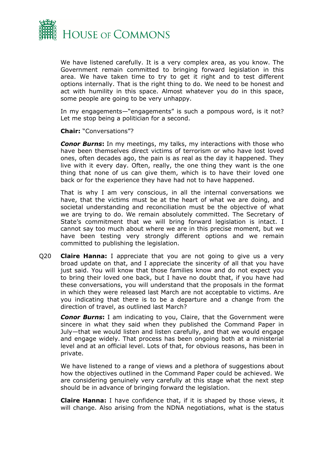

We have listened carefully. It is a very complex area, as you know. The Government remain committed to bringing forward legislation in this area. We have taken time to try to get it right and to test different options internally. That is the right thing to do. We need to be honest and act with humility in this space. Almost whatever you do in this space, some people are going to be very unhappy.

In my engagements—"engagements" is such a pompous word, is it not? Let me stop being a politician for a second.

**Chair:** "Conversations"?

*Conor Burns*: In my meetings, my talks, my interactions with those who have been themselves direct victims of terrorism or who have lost loved ones, often decades ago, the pain is as real as the day it happened. They live with it every day. Often, really, the one thing they want is the one thing that none of us can give them, which is to have their loved one back or for the experience they have had not to have happened.

That is why I am very conscious, in all the internal conversations we have, that the victims must be at the heart of what we are doing, and societal understanding and reconciliation must be the objective of what we are trying to do. We remain absolutely committed. The Secretary of State's commitment that we will bring forward legislation is intact. I cannot say too much about where we are in this precise moment, but we have been testing very strongly different options and we remain committed to publishing the legislation.

Q20 **Claire Hanna:** I appreciate that you are not going to give us a very broad update on that, and I appreciate the sincerity of all that you have just said. You will know that those families know and do not expect you to bring their loved one back, but I have no doubt that, if you have had these conversations, you will understand that the proposals in the format in which they were released last March are not acceptable to victims. Are you indicating that there is to be a departure and a change from the direction of travel, as outlined last March?

*Conor Burns***:** I am indicating to you, Claire, that the Government were sincere in what they said when they published the Command Paper in July—that we would listen and listen carefully, and that we would engage and engage widely. That process has been ongoing both at a ministerial level and at an official level. Lots of that, for obvious reasons, has been in private.

We have listened to a range of views and a plethora of suggestions about how the objectives outlined in the Command Paper could be achieved. We are considering genuinely very carefully at this stage what the next step should be in advance of bringing forward the legislation.

**Claire Hanna:** I have confidence that, if it is shaped by those views, it will change. Also arising from the NDNA negotiations, what is the status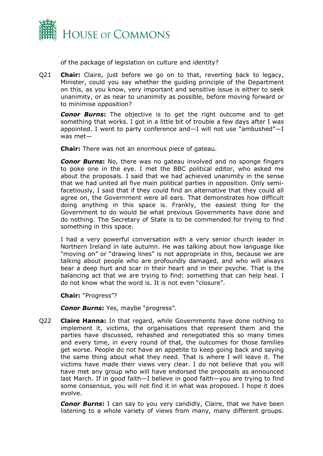

of the package of legislation on culture and identity?

Q21 **Chair:** Claire, just before we go on to that, reverting back to legacy, Minister, could you say whether the guiding principle of the Department on this, as you know, very important and sensitive issue is either to seek unanimity, or as near to unanimity as possible, before moving forward or to minimise opposition?

*Conor Burns***:** The objective is to get the right outcome and to get something that works. I got in a little bit of trouble a few days after I was appointed. I went to party conference and—I will not use "ambushed"—I was met—

**Chair:** There was not an enormous piece of gateau.

*Conor Burns***:** No, there was no gateau involved and no sponge fingers to poke one in the eye. I met the BBC political editor, who asked me about the proposals. I said that we had achieved unanimity in the sense that we had united all five main political parties in opposition. Only semifacetiously, I said that if they could find an alternative that they could all agree on, the Government were all ears. That demonstrates how difficult doing anything in this space is. Frankly, the easiest thing for the Government to do would be what previous Governments have done and do nothing. The Secretary of State is to be commended for trying to find something in this space.

I had a very powerful conversation with a very senior church leader in Northern Ireland in late autumn. He was talking about how language like "moving on" or "drawing lines" is not appropriate in this, because we are talking about people who are profoundly damaged, and who will always bear a deep hurt and scar in their heart and in their psyche. That is the balancing act that we are trying to find: something that can help heal. I do not know what the word is. It is not even "closure".

**Chair:** "Progress"?

*Conor Burns***:** Yes, maybe "progress".

Q22 **Claire Hanna:** In that regard, while Governments have done nothing to implement it, victims, the organisations that represent them and the parties have discussed, rehashed and renegotiated this so many times and every time, in every round of that, the outcomes for those families get worse. People do not have an appetite to keep going back and saying the same thing about what they need. That is where I will leave it. The victims have made their views very clear. I do not believe that you will have met any group who will have endorsed the proposals as announced last March. If in good faith—I believe in good faith—you are trying to find some consensus, you will not find it in what was proposed. I hope it does evolve.

*Conor Burns***:** I can say to you very candidly, Claire, that we have been listening to a whole variety of views from many, many different groups.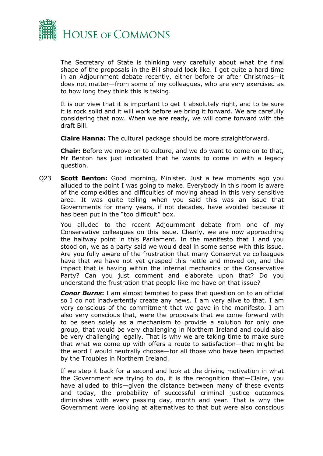

The Secretary of State is thinking very carefully about what the final shape of the proposals in the Bill should look like. I got quite a hard time in an Adjournment debate recently, either before or after Christmas—it does not matter—from some of my colleagues, who are very exercised as to how long they think this is taking.

It is our view that it is important to get it absolutely right, and to be sure it is rock solid and it will work before we bring it forward. We are carefully considering that now. When we are ready, we will come forward with the draft Bill.

**Claire Hanna:** The cultural package should be more straightforward.

**Chair:** Before we move on to culture, and we do want to come on to that, Mr Benton has just indicated that he wants to come in with a legacy question.

Q23 **Scott Benton:** Good morning, Minister. Just a few moments ago you alluded to the point I was going to make. Everybody in this room is aware of the complexities and difficulties of moving ahead in this very sensitive area. It was quite telling when you said this was an issue that Governments for many years, if not decades, have avoided because it has been put in the "too difficult" box.

You alluded to the recent Adjournment debate from one of my Conservative colleagues on this issue. Clearly, we are now approaching the halfway point in this Parliament. In the manifesto that I and you stood on, we as a party said we would deal in some sense with this issue. Are you fully aware of the frustration that many Conservative colleagues have that we have not yet grasped this nettle and moved on, and the impact that is having within the internal mechanics of the Conservative Party? Can you just comment and elaborate upon that? Do you understand the frustration that people like me have on that issue?

*Conor Burns***:** I am almost tempted to pass that question on to an official so I do not inadvertently create any news. I am very alive to that. I am very conscious of the commitment that we gave in the manifesto. I am also very conscious that, were the proposals that we come forward with to be seen solely as a mechanism to provide a solution for only one group, that would be very challenging in Northern Ireland and could also be very challenging legally. That is why we are taking time to make sure that what we come up with offers a route to satisfaction—that might be the word I would neutrally choose—for all those who have been impacted by the Troubles in Northern Ireland.

If we step it back for a second and look at the driving motivation in what the Government are trying to do, it is the recognition that—Claire, you have alluded to this—given the distance between many of these events and today, the probability of successful criminal justice outcomes diminishes with every passing day, month and year. That is why the Government were looking at alternatives to that but were also conscious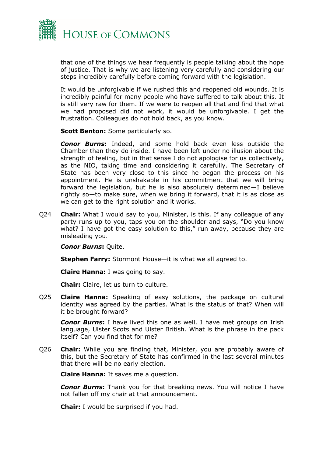

that one of the things we hear frequently is people talking about the hope of justice. That is why we are listening very carefully and considering our steps incredibly carefully before coming forward with the legislation.

It would be unforgivable if we rushed this and reopened old wounds. It is incredibly painful for many people who have suffered to talk about this. It is still very raw for them. If we were to reopen all that and find that what we had proposed did not work, it would be unforgivable. I get the frustration. Colleagues do not hold back, as you know.

**Scott Benton:** Some particularly so.

*Conor Burns***:** Indeed, and some hold back even less outside the Chamber than they do inside. I have been left under no illusion about the strength of feeling, but in that sense I do not apologise for us collectively, as the NIO, taking time and considering it carefully. The Secretary of State has been very close to this since he began the process on his appointment. He is unshakable in his commitment that we will bring forward the legislation, but he is also absolutely determined—I believe rightly so—to make sure, when we bring it forward, that it is as close as we can get to the right solution and it works.

Q24 **Chair:** What I would say to you, Minister, is this. If any colleague of any party runs up to you, taps you on the shoulder and says, "Do you know what? I have got the easy solution to this," run away, because they are misleading you.

*Conor Burns***:** Quite.

**Stephen Farry:** Stormont House—it is what we all agreed to.

**Claire Hanna:** I was going to say.

**Chair:** Claire, let us turn to culture.

Q25 **Claire Hanna:** Speaking of easy solutions, the package on cultural identity was agreed by the parties. What is the status of that? When will it be brought forward?

*Conor Burns***:** I have lived this one as well. I have met groups on Irish language, Ulster Scots and Ulster British. What is the phrase in the pack itself? Can you find that for me?

Q26 **Chair:** While you are finding that, Minister, you are probably aware of this, but the Secretary of State has confirmed in the last several minutes that there will be no early election.

**Claire Hanna:** It saves me a question.

*Conor Burns***:** Thank you for that breaking news. You will notice I have not fallen off my chair at that announcement.

**Chair:** I would be surprised if you had.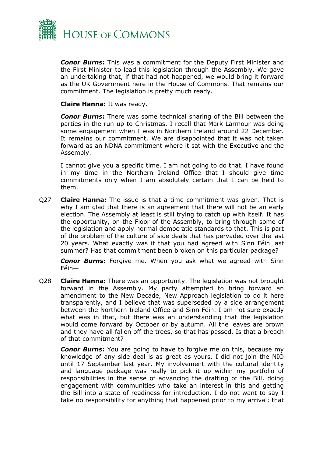

*Conor Burns***:** This was a commitment for the Deputy First Minister and the First Minister to lead this legislation through the Assembly. We gave an undertaking that, if that had not happened, we would bring it forward as the UK Government here in the House of Commons. That remains our commitment. The legislation is pretty much ready.

**Claire Hanna:** It was ready.

*Conor Burns***:** There was some technical sharing of the Bill between the parties in the run-up to Christmas. I recall that Mark Larmour was doing some engagement when I was in Northern Ireland around 22 December. It remains our commitment. We are disappointed that it was not taken forward as an NDNA commitment where it sat with the Executive and the Assembly.

I cannot give you a specific time. I am not going to do that. I have found in my time in the Northern Ireland Office that I should give time commitments only when I am absolutely certain that I can be held to them.

Q27 **Claire Hanna:** The issue is that a time commitment was given. That is why I am glad that there is an agreement that there will not be an early election. The Assembly at least is still trying to catch up with itself. It has the opportunity, on the Floor of the Assembly, to bring through some of the legislation and apply normal democratic standards to that. This is part of the problem of the culture of side deals that has pervaded over the last 20 years. What exactly was it that you had agreed with Sinn Féin last summer? Has that commitment been broken on this particular package?

*Conor Burns***:** Forgive me. When you ask what we agreed with Sinn Féin—

Q28 **Claire Hanna:** There was an opportunity. The legislation was not brought forward in the Assembly. My party attempted to bring forward an amendment to the New Decade, New Approach legislation to do it here transparently, and I believe that was superseded by a side arrangement between the Northern Ireland Office and Sinn Féin. I am not sure exactly what was in that, but there was an understanding that the legislation would come forward by October or by autumn. All the leaves are brown and they have all fallen off the trees, so that has passed. Is that a breach of that commitment?

*Conor Burns***:** You are going to have to forgive me on this, because my knowledge of any side deal is as great as yours. I did not join the NIO until 17 September last year. My involvement with the cultural identity and language package was really to pick it up within my portfolio of responsibilities in the sense of advancing the drafting of the Bill, doing engagement with communities who take an interest in this and getting the Bill into a state of readiness for introduction. I do not want to say I take no responsibility for anything that happened prior to my arrival; that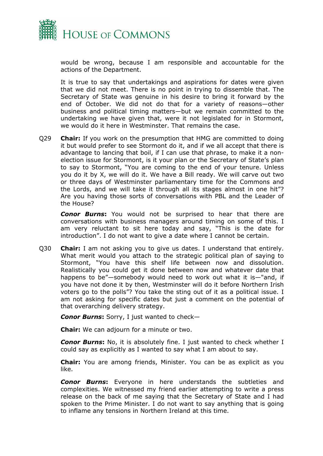

would be wrong, because I am responsible and accountable for the actions of the Department.

It is true to say that undertakings and aspirations for dates were given that we did not meet. There is no point in trying to dissemble that. The Secretary of State was genuine in his desire to bring it forward by the end of October. We did not do that for a variety of reasons—other business and political timing matters—but we remain committed to the undertaking we have given that, were it not legislated for in Stormont, we would do it here in Westminster. That remains the case.

Q29 **Chair:** If you work on the presumption that HMG are committed to doing it but would prefer to see Stormont do it, and if we all accept that there is advantage to lancing that boil, if I can use that phrase, to make it a nonelection issue for Stormont, is it your plan or the Secretary of State's plan to say to Stormont, "You are coming to the end of your tenure. Unless you do it by X, we will do it. We have a Bill ready. We will carve out two or three days of Westminster parliamentary time for the Commons and the Lords, and we will take it through all its stages almost in one hit"? Are you having those sorts of conversations with PBL and the Leader of the House?

*Conor Burns***:** You would not be surprised to hear that there are conversations with business managers around timing on some of this. I am very reluctant to sit here today and say, "This is the date for introduction". I do not want to give a date where I cannot be certain.

Q30 **Chair:** I am not asking you to give us dates. I understand that entirely. What merit would you attach to the strategic political plan of saying to Stormont, "You have this shelf life between now and dissolution. Realistically you could get it done between now and whatever date that happens to be"—somebody would need to work out what it is—"and, if you have not done it by then, Westminster will do it before Northern Irish voters go to the polls"? You take the sting out of it as a political issue. I am not asking for specific dates but just a comment on the potential of that overarching delivery strategy.

*Conor Burns***:** Sorry, I just wanted to check—

**Chair:** We can adjourn for a minute or two.

*Conor Burns***:** No, it is absolutely fine. I just wanted to check whether I could say as explicitly as I wanted to say what I am about to say.

**Chair:** You are among friends, Minister. You can be as explicit as you like.

*Conor Burns***:** Everyone in here understands the subtleties and complexities. We witnessed my friend earlier attempting to write a press release on the back of me saying that the Secretary of State and I had spoken to the Prime Minister. I do not want to say anything that is going to inflame any tensions in Northern Ireland at this time.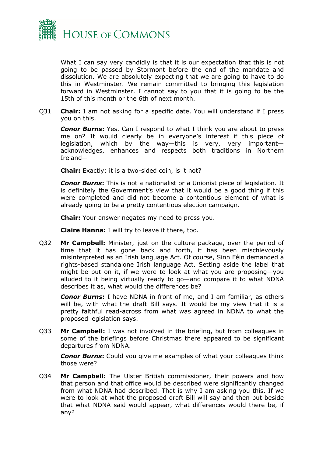

What I can say very candidly is that it is our expectation that this is not going to be passed by Stormont before the end of the mandate and dissolution. We are absolutely expecting that we are going to have to do this in Westminster. We remain committed to bringing this legislation forward in Westminster. I cannot say to you that it is going to be the 15th of this month or the 6th of next month.

Q31 **Chair:** I am not asking for a specific date. You will understand if I press you on this.

*Conor Burns***:** Yes. Can I respond to what I think you are about to press me on? It would clearly be in everyone's interest if this piece of legislation, which by the way—this is very, very important acknowledges, enhances and respects both traditions in Northern Ireland—

**Chair:** Exactly; it is a two-sided coin, is it not?

*Conor Burns***:** This is not a nationalist or a Unionist piece of legislation. It is definitely the Government's view that it would be a good thing if this were completed and did not become a contentious element of what is already going to be a pretty contentious election campaign.

**Chair:** Your answer negates my need to press you.

**Claire Hanna:** I will try to leave it there, too.

Q32 **Mr Campbell:** Minister, just on the culture package, over the period of time that it has gone back and forth, it has been mischievously misinterpreted as an Irish language Act. Of course, Sinn Féin demanded a rights-based standalone Irish language Act. Setting aside the label that might be put on it, if we were to look at what you are proposing—you alluded to it being virtually ready to go—and compare it to what NDNA describes it as, what would the differences be?

*Conor Burns***:** I have NDNA in front of me, and I am familiar, as others will be, with what the draft Bill says. It would be my view that it is a pretty faithful read-across from what was agreed in NDNA to what the proposed legislation says.

Q33 **Mr Campbell:** I was not involved in the briefing, but from colleagues in some of the briefings before Christmas there appeared to be significant departures from NDNA.

**Conor Burns:** Could you give me examples of what your colleagues think those were?

Q34 **Mr Campbell:** The Ulster British commissioner, their powers and how that person and that office would be described were significantly changed from what NDNA had described. That is why I am asking you this. If we were to look at what the proposed draft Bill will say and then put beside that what NDNA said would appear, what differences would there be, if any?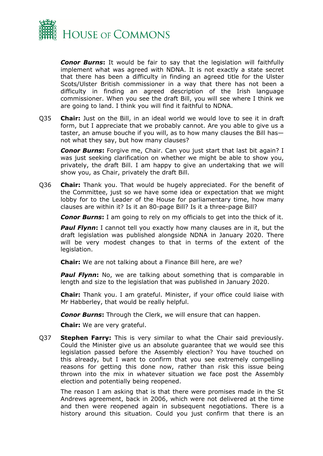

*Conor Burns***:** It would be fair to say that the legislation will faithfully implement what was agreed with NDNA. It is not exactly a state secret that there has been a difficulty in finding an agreed title for the Ulster Scots/Ulster British commissioner in a way that there has not been a difficulty in finding an agreed description of the Irish language commissioner. When you see the draft Bill, you will see where I think we are going to land. I think you will find it faithful to NDNA.

Q35 **Chair:** Just on the Bill, in an ideal world we would love to see it in draft form, but I appreciate that we probably cannot. Are you able to give us a taster, an amuse bouche if you will, as to how many clauses the Bill has not what they say, but how many clauses?

*Conor Burns***:** Forgive me, Chair. Can you just start that last bit again? I was just seeking clarification on whether we might be able to show you, privately, the draft Bill. I am happy to give an undertaking that we will show you, as Chair, privately the draft Bill.

Q36 **Chair:** Thank you. That would be hugely appreciated. For the benefit of the Committee, just so we have some idea or expectation that we might lobby for to the Leader of the House for parliamentary time, how many clauses are within it? Is it an 80-page Bill? Is it a three-page Bill?

*Conor Burns***:** I am going to rely on my officials to get into the thick of it.

**Paul Flynn:** I cannot tell you exactly how many clauses are in it, but the draft legislation was published alongside NDNA in January 2020. There will be very modest changes to that in terms of the extent of the legislation.

**Chair:** We are not talking about a Finance Bill here, are we?

**Paul Flynn:** No, we are talking about something that is comparable in length and size to the legislation that was published in January 2020.

**Chair:** Thank you. I am grateful. Minister, if your office could liaise with Mr Habberley, that would be really helpful.

*Conor Burns***:** Through the Clerk, we will ensure that can happen.

**Chair:** We are very grateful.

Q37 **Stephen Farry:** This is very similar to what the Chair said previously. Could the Minister give us an absolute guarantee that we would see this legislation passed before the Assembly election? You have touched on this already, but I want to confirm that you see extremely compelling reasons for getting this done now, rather than risk this issue being thrown into the mix in whatever situation we face post the Assembly election and potentially being reopened.

The reason I am asking that is that there were promises made in the St Andrews agreement, back in 2006, which were not delivered at the time and then were reopened again in subsequent negotiations. There is a history around this situation. Could you just confirm that there is an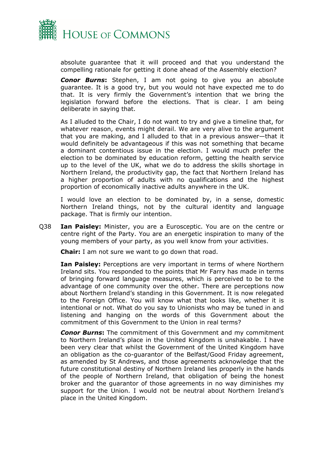

absolute guarantee that it will proceed and that you understand the compelling rationale for getting it done ahead of the Assembly election?

*Conor Burns***:** Stephen, I am not going to give you an absolute guarantee. It is a good try, but you would not have expected me to do that. It is very firmly the Government's intention that we bring the legislation forward before the elections. That is clear. I am being deliberate in saying that.

As I alluded to the Chair, I do not want to try and give a timeline that, for whatever reason, events might derail. We are very alive to the argument that you are making, and I alluded to that in a previous answer—that it would definitely be advantageous if this was not something that became a dominant contentious issue in the election. I would much prefer the election to be dominated by education reform, getting the health service up to the level of the UK, what we do to address the skills shortage in Northern Ireland, the productivity gap, the fact that Northern Ireland has a higher proportion of adults with no qualifications and the highest proportion of economically inactive adults anywhere in the UK.

I would love an election to be dominated by, in a sense, domestic Northern Ireland things, not by the cultural identity and language package. That is firmly our intention.

Q38 **Ian Paisley:** Minister, you are a Eurosceptic. You are on the centre or centre right of the Party. You are an energetic inspiration to many of the young members of your party, as you well know from your activities.

**Chair:** I am not sure we want to go down that road.

**Ian Paisley:** Perceptions are very important in terms of where Northern Ireland sits. You responded to the points that Mr Farry has made in terms of bringing forward language measures, which is perceived to be to the advantage of one community over the other. There are perceptions now about Northern Ireland's standing in this Government. It is now relegated to the Foreign Office. You will know what that looks like, whether it is intentional or not. What do you say to Unionists who may be tuned in and listening and hanging on the words of this Government about the commitment of this Government to the Union in real terms?

*Conor Burns***:** The commitment of this Government and my commitment to Northern Ireland's place in the United Kingdom is unshakable. I have been very clear that whilst the Government of the United Kingdom have an obligation as the co-guarantor of the Belfast/Good Friday agreement, as amended by St Andrews, and those agreements acknowledge that the future constitutional destiny of Northern Ireland lies properly in the hands of the people of Northern Ireland, that obligation of being the honest broker and the guarantor of those agreements in no way diminishes my support for the Union. I would not be neutral about Northern Ireland's place in the United Kingdom.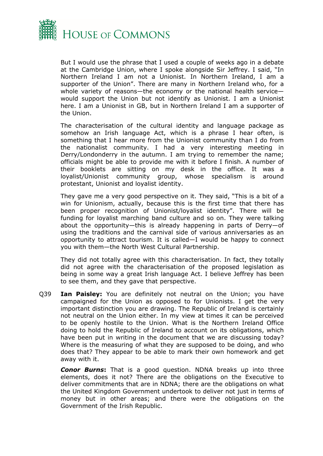

But I would use the phrase that I used a couple of weeks ago in a debate at the Cambridge Union, where I spoke alongside Sir Jeffrey. I said, "In Northern Ireland I am not a Unionist. In Northern Ireland, I am a supporter of the Union". There are many in Northern Ireland who, for a whole variety of reasons—the economy or the national health service would support the Union but not identify as Unionist. I am a Unionist here. I am a Unionist in GB, but in Northern Ireland I am a supporter of the Union.

The characterisation of the cultural identity and language package as somehow an Irish language Act, which is a phrase I hear often, is something that I hear more from the Unionist community than I do from the nationalist community. I had a very interesting meeting in Derry/Londonderry in the autumn. I am trying to remember the name; officials might be able to provide me with it before I finish. A number of their booklets are sitting on my desk in the office. It was a loyalist/Unionist community group, whose specialism is around protestant, Unionist and loyalist identity.

They gave me a very good perspective on it. They said, "This is a bit of a win for Unionism, actually, because this is the first time that there has been proper recognition of Unionist/loyalist identity". There will be funding for loyalist marching band culture and so on. They were talking about the opportunity—this is already happening in parts of Derry—of using the traditions and the carnival side of various anniversaries as an opportunity to attract tourism. It is called—I would be happy to connect you with them—the North West Cultural Partnership.

They did not totally agree with this characterisation. In fact, they totally did not agree with the characterisation of the proposed legislation as being in some way a great Irish language Act. I believe Jeffrey has been to see them, and they gave that perspective.

Q39 **Ian Paisley:** You are definitely not neutral on the Union; you have campaigned for the Union as opposed to for Unionists. I get the very important distinction you are drawing. The Republic of Ireland is certainly not neutral on the Union either. In my view at times it can be perceived to be openly hostile to the Union. What is the Northern Ireland Office doing to hold the Republic of Ireland to account on its obligations, which have been put in writing in the document that we are discussing today? Where is the measuring of what they are supposed to be doing, and who does that? They appear to be able to mark their own homework and get away with it.

*Conor Burns***:** That is a good question. NDNA breaks up into three elements, does it not? There are the obligations on the Executive to deliver commitments that are in NDNA; there are the obligations on what the United Kingdom Government undertook to deliver not just in terms of money but in other areas; and there were the obligations on the Government of the Irish Republic.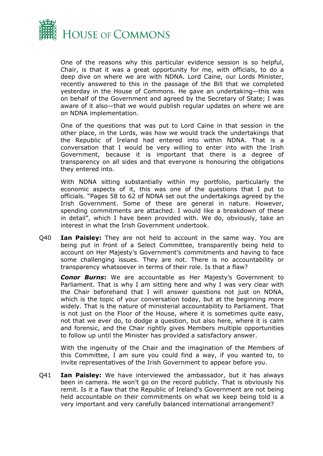

One of the reasons why this particular evidence session is so helpful, Chair, is that it was a great opportunity for me, with officials, to do a deep dive on where we are with NDNA. Lord Caine, our Lords Minister, recently answered to this in the passage of the Bill that we completed yesterday in the House of Commons. He gave an undertaking—this was on behalf of the Government and agreed by the Secretary of State; I was aware of it also—that we would publish regular updates on where we are on NDNA implementation.

One of the questions that was put to Lord Caine in that session in the other place, in the Lords, was how we would track the undertakings that the Republic of Ireland had entered into within NDNA. That is a conversation that I would be very willing to enter into with the Irish Government, because it is important that there is a degree of transparency on all sides and that everyone is honouring the obligations they entered into.

With NDNA sitting substantially within my portfolio, particularly the economic aspects of it, this was one of the questions that I put to officials. "Pages 58 to 62 of NDNA set out the undertakings agreed by the Irish Government. Some of these are general in nature. However, spending commitments are attached. I would like a breakdown of these in detail", which I have been provided with. We do, obviously, take an interest in what the Irish Government undertook.

Q40 **Ian Paisley:** They are not held to account in the same way. You are being put in front of a Select Committee, transparently being held to account on Her Majesty's Government's commitments and having to face some challenging issues. They are not. There is no accountability or transparency whatsoever in terms of their role. Is that a flaw?

*Conor Burns***:** We are accountable as Her Majesty's Government to Parliament. That is why I am sitting here and why I was very clear with the Chair beforehand that I will answer questions not just on NDNA, which is the topic of your conversation today, but at the beginning more widely. That is the nature of ministerial accountability to Parliament. That is not just on the Floor of the House, where it is sometimes quite easy, not that we ever do, to dodge a question, but also here, where it is calm and forensic, and the Chair rightly gives Members multiple opportunities to follow up until the Minister has provided a satisfactory answer.

With the ingenuity of the Chair and the imagination of the Members of this Committee, I am sure you could find a way, if you wanted to, to invite representatives of the Irish Government to appear before you.

Q41 **Ian Paisley:** We have interviewed the ambassador, but it has always been in camera. He won't go on the record publicly. That is obviously his remit. Is it a flaw that the Republic of Ireland's Government are not being held accountable on their commitments on what we keep being told is a very important and very carefully balanced international arrangement?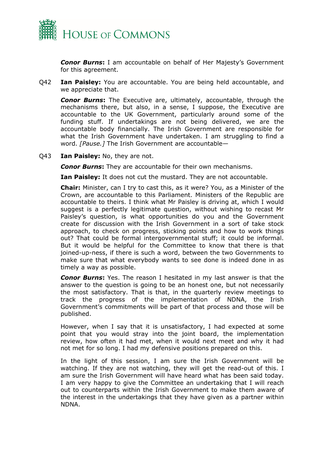

*Conor Burns***:** I am accountable on behalf of Her Majesty's Government for this agreement.

Q42 **Ian Paisley:** You are accountable. You are being held accountable, and we appreciate that.

*Conor Burns***:** The Executive are, ultimately, accountable, through the mechanisms there, but also, in a sense, I suppose, the Executive are accountable to the UK Government, particularly around some of the funding stuff. If undertakings are not being delivered, we are the accountable body financially. The Irish Government are responsible for what the Irish Government have undertaken. I am struggling to find a word. *[Pause.]* The Irish Government are accountable—

Q43 **Ian Paisley:** No, they are not.

*Conor Burns***:** They are accountable for their own mechanisms.

**Ian Paisley:** It does not cut the mustard. They are not accountable.

**Chair:** Minister, can I try to cast this, as it were? You, as a Minister of the Crown, are accountable to this Parliament. Ministers of the Republic are accountable to theirs. I think what Mr Paisley is driving at, which I would suggest is a perfectly legitimate question, without wishing to recast Mr Paisley's question, is what opportunities do you and the Government create for discussion with the Irish Government in a sort of take stock approach, to check on progress, sticking points and how to work things out? That could be formal intergovernmental stuff; it could be informal. But it would be helpful for the Committee to know that there is that joined-up-ness, if there is such a word, between the two Governments to make sure that what everybody wants to see done is indeed done in as timely a way as possible.

*Conor Burns***:** Yes. The reason I hesitated in my last answer is that the answer to the question is going to be an honest one, but not necessarily the most satisfactory. That is that, in the quarterly review meetings to track the progress of the implementation of NDNA, the Irish Government's commitments will be part of that process and those will be published.

However, when I say that it is unsatisfactory, I had expected at some point that you would stray into the joint board, the implementation review, how often it had met, when it would next meet and why it had not met for so long. I had my defensive positions prepared on this.

In the light of this session, I am sure the Irish Government will be watching. If they are not watching, they will get the read-out of this. I am sure the Irish Government will have heard what has been said today. I am very happy to give the Committee an undertaking that I will reach out to counterparts within the Irish Government to make them aware of the interest in the undertakings that they have given as a partner within NDNA.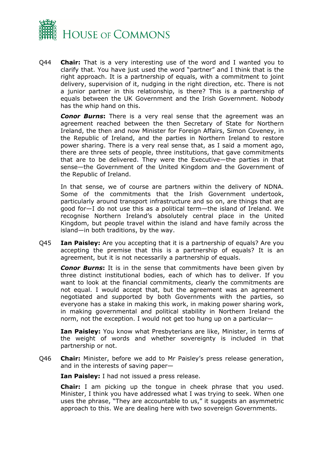

Q44 **Chair:** That is a very interesting use of the word and I wanted you to clarify that. You have just used the word "partner" and I think that is the right approach. It is a partnership of equals, with a commitment to joint delivery, supervision of it, nudging in the right direction, etc. There is not a junior partner in this relationship, is there? This is a partnership of equals between the UK Government and the Irish Government. Nobody has the whip hand on this.

*Conor Burns***:** There is a very real sense that the agreement was an agreement reached between the then Secretary of State for Northern Ireland, the then and now Minister for Foreign Affairs, Simon Coveney, in the Republic of Ireland, and the parties in Northern Ireland to restore power sharing. There is a very real sense that, as I said a moment ago, there are three sets of people, three institutions, that gave commitments that are to be delivered. They were the Executive—the parties in that sense—the Government of the United Kingdom and the Government of the Republic of Ireland.

In that sense, we of course are partners within the delivery of NDNA. Some of the commitments that the Irish Government undertook, particularly around transport infrastructure and so on, are things that are good for—I do not use this as a political term—the island of Ireland. We recognise Northern Ireland's absolutely central place in the United Kingdom, but people travel within the island and have family across the island—in both traditions, by the way.

Q45 **Ian Paisley:** Are you accepting that it is a partnership of equals? Are you accepting the premise that this is a partnership of equals? It is an agreement, but it is not necessarily a partnership of equals.

*Conor Burns***:** It is in the sense that commitments have been given by three distinct institutional bodies, each of which has to deliver. If you want to look at the financial commitments, clearly the commitments are not equal. I would accept that, but the agreement was an agreement negotiated and supported by both Governments with the parties, so everyone has a stake in making this work, in making power sharing work, in making governmental and political stability in Northern Ireland the norm, not the exception. I would not get too hung up on a particular—

**Ian Paisley:** You know what Presbyterians are like, Minister, in terms of the weight of words and whether sovereignty is included in that partnership or not.

Q46 **Chair:** Minister, before we add to Mr Paisley's press release generation, and in the interests of saving paper—

**Ian Paisley:** I had not issued a press release.

**Chair:** I am picking up the tongue in cheek phrase that you used. Minister, I think you have addressed what I was trying to seek. When one uses the phrase, "They are accountable to us," it suggests an asymmetric approach to this. We are dealing here with two sovereign Governments.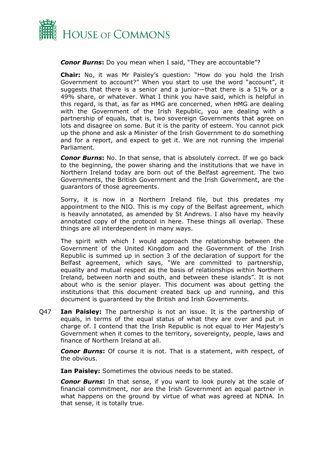

### *Conor Burns***:** Do you mean when I said, "They are accountable"?

**Chair:** No, it was Mr Paisley's question: "How do you hold the Irish Government to account?" When you start to use the word "account", it suggests that there is a senior and a junior—that there is a 51% or a 49% share, or whatever. What I think you have said, which is helpful in this regard, is that, as far as HMG are concerned, when HMG are dealing with the Government of the Irish Republic, you are dealing with a partnership of equals, that is, two sovereign Governments that agree on lots and disagree on some. But it is the parity of esteem. You cannot pick up the phone and ask a Minister of the Irish Government to do something and for a report, and expect to get it. We are not running the imperial Parliament.

*Conor Burns*: No. In that sense, that is absolutely correct. If we go back to the beginning, the power sharing and the institutions that we have in Northern Ireland today are born out of the Belfast agreement. The two Governments, the British Government and the Irish Government, are the guarantors of those agreements.

Sorry, it is now in a Northern Ireland file, but this predates my appointment to the NIO. This is my copy of the Belfast agreement, which is heavily annotated, as amended by St Andrews. I also have my heavily annotated copy of the protocol in here. These things all overlap. These things are all interdependent in many ways.

The spirit with which I would approach the relationship between the Government of the United Kingdom and the Government of the Irish Republic is summed up in section 3 of the declaration of support for the Belfast agreement, which says, "We are committed to partnership, equality and mutual respect as the basis of relationships within Northern Ireland, between north and south, and between these islands". It is not about who is the senior player. This document was about getting the institutions that this document created back up and running, and this document is guaranteed by the British and Irish Governments.

Q47 **Ian Paisley:** The partnership is not an issue. It is the partnership of equals, in terms of the equal status of what they are over and put in charge of. I contend that the Irish Republic is not equal to Her Majesty's Government when it comes to the territory, sovereignty, people, laws and finance of Northern Ireland at all.

*Conor Burns***:** Of course it is not. That is a statement, with respect, of the obvious.

**Ian Paisley:** Sometimes the obvious needs to be stated.

*Conor Burns***:** In that sense, if you want to look purely at the scale of financial commitment, nor are the Irish Government an equal partner in what happens on the ground by virtue of what was agreed at NDNA. In that sense, it is totally true.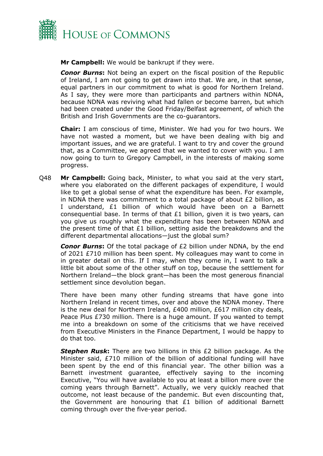

**Mr Campbell:** We would be bankrupt if they were.

*Conor Burns***:** Not being an expert on the fiscal position of the Republic of Ireland, I am not going to get drawn into that. We are, in that sense, equal partners in our commitment to what is good for Northern Ireland. As I say, they were more than participants and partners within NDNA, because NDNA was reviving what had fallen or become barren, but which had been created under the Good Friday/Belfast agreement, of which the British and Irish Governments are the co-guarantors.

**Chair:** I am conscious of time, Minister. We had you for two hours. We have not wasted a moment, but we have been dealing with big and important issues, and we are grateful. I want to try and cover the ground that, as a Committee, we agreed that we wanted to cover with you. I am now going to turn to Gregory Campbell, in the interests of making some progress.

Q48 **Mr Campbell:** Going back, Minister, to what you said at the very start, where you elaborated on the different packages of expenditure, I would like to get a global sense of what the expenditure has been. For example, in NDNA there was commitment to a total package of about £2 billion, as I understand, £1 billion of which would have been on a Barnett consequential base. In terms of that  $£1$  billion, given it is two years, can you give us roughly what the expenditure has been between NDNA and the present time of that £1 billion, setting aside the breakdowns and the different departmental allocations—just the global sum?

*Conor Burns***:** Of the total package of £2 billion under NDNA, by the end of 2021 £710 million has been spent. My colleagues may want to come in in greater detail on this. If I may, when they come in, I want to talk a little bit about some of the other stuff on top, because the settlement for Northern Ireland—the block grant—has been the most generous financial settlement since devolution began.

There have been many other funding streams that have gone into Northern Ireland in recent times, over and above the NDNA money. There is the new deal for Northern Ireland, £400 million, £617 million city deals, Peace Plus £730 million. There is a huge amount. If you wanted to tempt me into a breakdown on some of the criticisms that we have received from Executive Ministers in the Finance Department, I would be happy to do that too.

**Stephen Rusk:** There are two billions in this £2 billion package. As the Minister said, £710 million of the billion of additional funding will have been spent by the end of this financial year. The other billion was a Barnett investment guarantee, effectively saying to the incoming Executive, "You will have available to you at least a billion more over the coming years through Barnett". Actually, we very quickly reached that outcome, not least because of the pandemic. But even discounting that, the Government are honouring that £1 billion of additional Barnett coming through over the five-year period.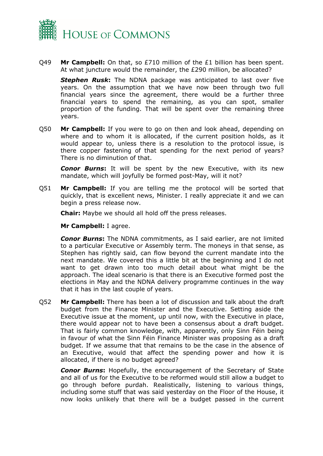

Q49 **Mr Campbell:** On that, so £710 million of the £1 billion has been spent. At what juncture would the remainder, the £290 million, be allocated?

**Stephen Rusk:** The NDNA package was anticipated to last over five years. On the assumption that we have now been through two full financial years since the agreement, there would be a further three financial years to spend the remaining, as you can spot, smaller proportion of the funding. That will be spent over the remaining three years.

Q50 **Mr Campbell:** If you were to go on then and look ahead, depending on where and to whom it is allocated, if the current position holds, as it would appear to, unless there is a resolution to the protocol issue, is there copper fastening of that spending for the next period of years? There is no diminution of that.

*Conor Burns***:** It will be spent by the new Executive, with its new mandate, which will joyfully be formed post-May, will it not?

Q51 **Mr Campbell:** If you are telling me the protocol will be sorted that quickly, that is excellent news, Minister. I really appreciate it and we can begin a press release now.

**Chair:** Maybe we should all hold off the press releases.

**Mr Campbell:** I agree.

*Conor Burns***:** The NDNA commitments, as I said earlier, are not limited to a particular Executive or Assembly term. The moneys in that sense, as Stephen has rightly said, can flow beyond the current mandate into the next mandate. We covered this a little bit at the beginning and I do not want to get drawn into too much detail about what might be the approach. The ideal scenario is that there is an Executive formed post the elections in May and the NDNA delivery programme continues in the way that it has in the last couple of years.

Q52 **Mr Campbell:** There has been a lot of discussion and talk about the draft budget from the Finance Minister and the Executive. Setting aside the Executive issue at the moment, up until now, with the Executive in place, there would appear not to have been a consensus about a draft budget. That is fairly common knowledge, with, apparently, only Sinn Féin being in favour of what the Sinn Féin Finance Minister was proposing as a draft budget. If we assume that that remains to be the case in the absence of an Executive, would that affect the spending power and how it is allocated, if there is no budget agreed?

*Conor Burns***:** Hopefully, the encouragement of the Secretary of State and all of us for the Executive to be reformed would still allow a budget to go through before purdah. Realistically, listening to various things, including some stuff that was said yesterday on the Floor of the House, it now looks unlikely that there will be a budget passed in the current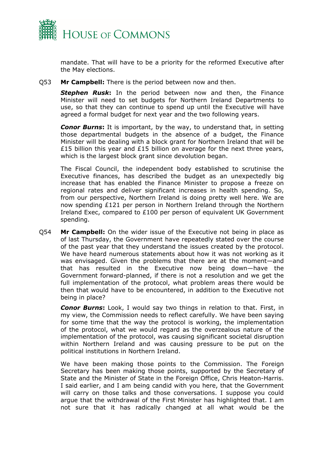

mandate. That will have to be a priority for the reformed Executive after the May elections.

Q53 **Mr Campbell:** There is the period between now and then.

*Stephen Rusk***:** In the period between now and then, the Finance Minister will need to set budgets for Northern Ireland Departments to use, so that they can continue to spend up until the Executive will have agreed a formal budget for next year and the two following years.

*Conor Burns***:** It is important, by the way, to understand that, in setting those departmental budgets in the absence of a budget, the Finance Minister will be dealing with a block grant for Northern Ireland that will be £15 billion this year and £15 billion on average for the next three years, which is the largest block grant since devolution began.

The Fiscal Council, the independent body established to scrutinise the Executive finances, has described the budget as an unexpectedly big increase that has enabled the Finance Minister to propose a freeze on regional rates and deliver significant increases in health spending. So, from our perspective, Northern Ireland is doing pretty well here. We are now spending £121 per person in Northern Ireland through the Northern Ireland Exec, compared to £100 per person of equivalent UK Government spending.

Q54 **Mr Campbell:** On the wider issue of the Executive not being in place as of last Thursday, the Government have repeatedly stated over the course of the past year that they understand the issues created by the protocol. We have heard numerous statements about how it was not working as it was envisaged. Given the problems that there are at the moment—and that has resulted in the Executive now being down—have the Government forward-planned, if there is not a resolution and we get the full implementation of the protocol, what problem areas there would be then that would have to be encountered, in addition to the Executive not being in place?

*Conor Burns***:** Look, I would say two things in relation to that. First, in my view, the Commission needs to reflect carefully. We have been saying for some time that the way the protocol is working, the implementation of the protocol, what we would regard as the overzealous nature of the implementation of the protocol, was causing significant societal disruption within Northern Ireland and was causing pressure to be put on the political institutions in Northern Ireland.

We have been making those points to the Commission. The Foreign Secretary has been making those points, supported by the Secretary of State and the Minister of State in the Foreign Office, Chris Heaton-Harris. I said earlier, and I am being candid with you here, that the Government will carry on those talks and those conversations. I suppose you could argue that the withdrawal of the First Minister has highlighted that. I am not sure that it has radically changed at all what would be the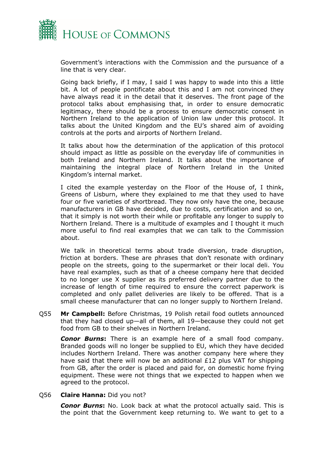

Government's interactions with the Commission and the pursuance of a line that is very clear.

Going back briefly, if I may, I said I was happy to wade into this a little bit. A lot of people pontificate about this and I am not convinced they have always read it in the detail that it deserves. The front page of the protocol talks about emphasising that, in order to ensure democratic legitimacy, there should be a process to ensure democratic consent in Northern Ireland to the application of Union law under this protocol. It talks about the United Kingdom and the EU's shared aim of avoiding controls at the ports and airports of Northern Ireland.

It talks about how the determination of the application of this protocol should impact as little as possible on the everyday life of communities in both Ireland and Northern Ireland. It talks about the importance of maintaining the integral place of Northern Ireland in the United Kingdom's internal market.

I cited the example yesterday on the Floor of the House of, I think, Greens of Lisburn, where they explained to me that they used to have four or five varieties of shortbread. They now only have the one, because manufacturers in GB have decided, due to costs, certification and so on, that it simply is not worth their while or profitable any longer to supply to Northern Ireland. There is a multitude of examples and I thought it much more useful to find real examples that we can talk to the Commission about.

We talk in theoretical terms about trade diversion, trade disruption, friction at borders. These are phrases that don't resonate with ordinary people on the streets, going to the supermarket or their local deli. You have real examples, such as that of a cheese company here that decided to no longer use X supplier as its preferred delivery partner due to the increase of length of time required to ensure the correct paperwork is completed and only pallet deliveries are likely to be offered. That is a small cheese manufacturer that can no longer supply to Northern Ireland.

Q55 **Mr Campbell:** Before Christmas, 19 Polish retail food outlets announced that they had closed up—all of them, all 19—because they could not get food from GB to their shelves in Northern Ireland.

*Conor Burns***:** There is an example here of a small food company. Branded goods will no longer be supplied to EU, which they have decided includes Northern Ireland. There was another company here where they have said that there will now be an additional £12 plus VAT for shipping from GB, after the order is placed and paid for, on domestic home frying equipment. These were not things that we expected to happen when we agreed to the protocol.

#### Q56 **Claire Hanna:** Did you not?

*Conor Burns***:** No. Look back at what the protocol actually said. This is the point that the Government keep returning to. We want to get to a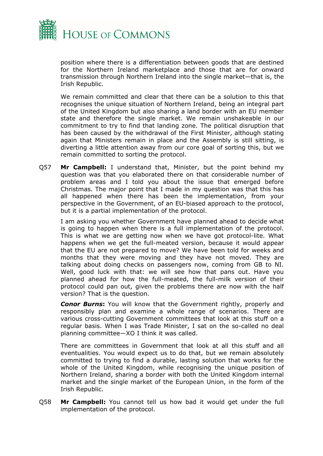

position where there is a differentiation between goods that are destined for the Northern Ireland marketplace and those that are for onward transmission through Northern Ireland into the single market—that is, the Irish Republic.

We remain committed and clear that there can be a solution to this that recognises the unique situation of Northern Ireland, being an integral part of the United Kingdom but also sharing a land border with an EU member state and therefore the single market. We remain unshakeable in our commitment to try to find that landing zone. The political disruption that has been caused by the withdrawal of the First Minister, although stating again that Ministers remain in place and the Assembly is still sitting, is diverting a little attention away from our core goal of sorting this, but we remain committed to sorting the protocol.

Q57 **Mr Campbell:** I understand that, Minister, but the point behind my question was that you elaborated there on that considerable number of problem areas and I told you about the issue that emerged before Christmas. The major point that I made in my question was that this has all happened when there has been the implementation, from your perspective in the Government, of an EU-biased approach to the protocol, but it is a partial implementation of the protocol.

I am asking you whether Government have planned ahead to decide what is going to happen when there is a full implementation of the protocol. This is what we are getting now when we have got protocol-lite. What happens when we get the full-meated version, because it would appear that the EU are not prepared to move? We have been told for weeks and months that they were moving and they have not moved. They are talking about doing checks on passengers now, coming from GB to NI. Well, good luck with that: we will see how that pans out. Have you planned ahead for how the full-meated, the full-milk version of their protocol could pan out, given the problems there are now with the half version? That is the question.

*Conor Burns***:** You will know that the Government rightly, properly and responsibly plan and examine a whole range of scenarios. There are various cross-cutting Government committees that look at this stuff on a regular basis. When I was Trade Minister, I sat on the so-called no deal planning committee—XO I think it was called.

There are committees in Government that look at all this stuff and all eventualities. You would expect us to do that, but we remain absolutely committed to trying to find a durable, lasting solution that works for the whole of the United Kingdom, while recognising the unique position of Northern Ireland, sharing a border with both the United Kingdom internal market and the single market of the European Union, in the form of the Irish Republic.

Q58 **Mr Campbell:** You cannot tell us how bad it would get under the full implementation of the protocol.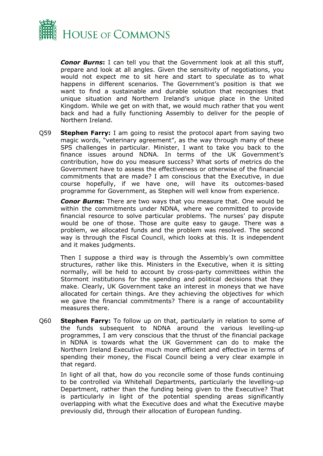

*Conor Burns***:** I can tell you that the Government look at all this stuff, prepare and look at all angles. Given the sensitivity of negotiations, you would not expect me to sit here and start to speculate as to what happens in different scenarios. The Government's position is that we want to find a sustainable and durable solution that recognises that unique situation and Northern Ireland's unique place in the United Kingdom. While we get on with that, we would much rather that you went back and had a fully functioning Assembly to deliver for the people of Northern Ireland.

Q59 **Stephen Farry:** I am going to resist the protocol apart from saying two magic words, "veterinary agreement", as the way through many of these SPS challenges in particular. Minister, I want to take you back to the finance issues around NDNA. In terms of the UK Government's contribution, how do you measure success? What sorts of metrics do the Government have to assess the effectiveness or otherwise of the financial commitments that are made? I am conscious that the Executive, in due course hopefully, if we have one, will have its outcomes-based programme for Government, as Stephen will well know from experience.

*Conor Burns***:** There are two ways that you measure that. One would be within the commitments under NDNA, where we committed to provide financial resource to solve particular problems. The nurses' pay dispute would be one of those. Those are quite easy to gauge. There was a problem, we allocated funds and the problem was resolved. The second way is through the Fiscal Council, which looks at this. It is independent and it makes judgments.

Then I suppose a third way is through the Assembly's own committee structures, rather like this. Ministers in the Executive, when it is sitting normally, will be held to account by cross-party committees within the Stormont institutions for the spending and political decisions that they make. Clearly, UK Government take an interest in moneys that we have allocated for certain things. Are they achieving the objectives for which we gave the financial commitments? There is a range of accountability measures there.

Q60 **Stephen Farry:** To follow up on that, particularly in relation to some of the funds subsequent to NDNA around the various levelling-up programmes, I am very conscious that the thrust of the financial package in NDNA is towards what the UK Government can do to make the Northern Ireland Executive much more efficient and effective in terms of spending their money, the Fiscal Council being a very clear example in that regard.

In light of all that, how do you reconcile some of those funds continuing to be controlled via Whitehall Departments, particularly the levelling-up Department, rather than the funding being given to the Executive? That is particularly in light of the potential spending areas significantly overlapping with what the Executive does and what the Executive maybe previously did, through their allocation of European funding.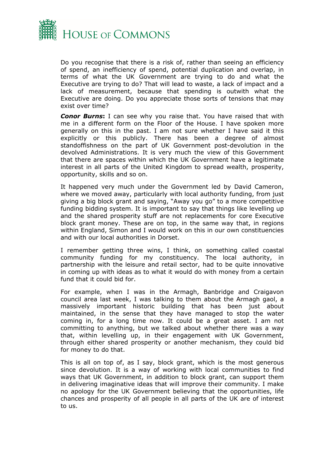

Do you recognise that there is a risk of, rather than seeing an efficiency of spend, an inefficiency of spend, potential duplication and overlap, in terms of what the UK Government are trying to do and what the Executive are trying to do? That will lead to waste, a lack of impact and a lack of measurement, because that spending is outwith what the Executive are doing. Do you appreciate those sorts of tensions that may exist over time?

*Conor Burns***:** I can see why you raise that. You have raised that with me in a different form on the Floor of the House. I have spoken more generally on this in the past. I am not sure whether I have said it this explicitly or this publicly. There has been a degree of almost standoffishness on the part of UK Government post-devolution in the devolved Administrations. It is very much the view of this Government that there are spaces within which the UK Government have a legitimate interest in all parts of the United Kingdom to spread wealth, prosperity, opportunity, skills and so on.

It happened very much under the Government led by David Cameron, where we moved away, particularly with local authority funding, from just giving a big block grant and saying, "Away you go" to a more competitive funding bidding system. It is important to say that things like levelling up and the shared prosperity stuff are not replacements for core Executive block grant money. These are on top, in the same way that, in regions within England, Simon and I would work on this in our own constituencies and with our local authorities in Dorset.

I remember getting three wins, I think, on something called coastal community funding for my constituency. The local authority, in partnership with the leisure and retail sector, had to be quite innovative in coming up with ideas as to what it would do with money from a certain fund that it could bid for.

For example, when I was in the Armagh, Banbridge and Craigavon council area last week, I was talking to them about the Armagh gaol, a massively important historic building that has been just about maintained, in the sense that they have managed to stop the water coming in, for a long time now. It could be a great asset. I am not committing to anything, but we talked about whether there was a way that, within levelling up, in their engagement with UK Government, through either shared prosperity or another mechanism, they could bid for money to do that.

This is all on top of, as I say, block grant, which is the most generous since devolution. It is a way of working with local communities to find ways that UK Government, in addition to block grant, can support them in delivering imaginative ideas that will improve their community. I make no apology for the UK Government believing that the opportunities, life chances and prosperity of all people in all parts of the UK are of interest to us.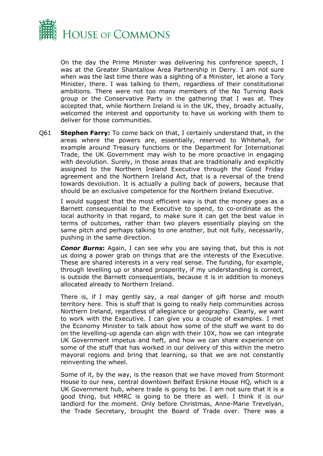

On the day the Prime Minister was delivering his conference speech, I was at the Greater Shantallow Area Partnership in Derry. I am not sure when was the last time there was a sighting of a Minister, let alone a Tory Minister, there. I was talking to them, regardless of their constitutional ambitions. There were not too many members of the No Turning Back group or the Conservative Party in the gathering that I was at. They accepted that, while Northern Ireland is in the UK, they, broadly actually, welcomed the interest and opportunity to have us working with them to deliver for those communities.

Q61 **Stephen Farry:** To come back on that, I certainly understand that, in the areas where the powers are, essentially, reserved to Whitehall, for example around Treasury functions or the Department for International Trade, the UK Government may wish to be more proactive in engaging with devolution. Surely, in those areas that are traditionally and explicitly assigned to the Northern Ireland Executive through the Good Friday agreement and the Northern Ireland Act, that is a reversal of the trend towards devolution. It is actually a pulling back of powers, because that should be an exclusive competence for the Northern Ireland Executive.

I would suggest that the most efficient way is that the money goes as a Barnett consequential to the Executive to spend, to co-ordinate as the local authority in that regard, to make sure it can get the best value in terms of outcomes, rather than two players essentially playing on the same pitch and perhaps talking to one another, but not fully, necessarily, pushing in the same direction.

*Conor Burns***:** Again, I can see why you are saying that, but this is not us doing a power grab on things that are the interests of the Executive. These are shared interests in a very real sense. The funding, for example, through levelling up or shared prosperity, if my understanding is correct, is outside the Barnett consequentials, because it is in addition to moneys allocated already to Northern Ireland.

There is, if I may gently say, a real danger of gift horse and mouth territory here. This is stuff that is going to really help communities across Northern Ireland, regardless of allegiance or geography. Clearly, we want to work with the Executive. I can give you a couple of examples. I met the Economy Minister to talk about how some of the stuff we want to do on the levelling-up agenda can align with their 10X, how we can integrate UK Government impetus and heft, and how we can share experience on some of the stuff that has worked in our delivery of this within the metro mayoral regions and bring that learning, so that we are not constantly reinventing the wheel.

Some of it, by the way, is the reason that we have moved from Stormont House to our new, central downtown Belfast Erskine House HQ, which is a UK Government hub, where trade is going to be. I am not sure that it is a good thing, but HMRC is going to be there as well. I think it is our landlord for the moment. Only before Christmas, Anne-Marie Trevelyan, the Trade Secretary, brought the Board of Trade over. There was a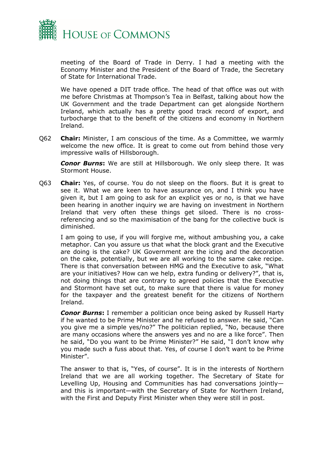

meeting of the Board of Trade in Derry. I had a meeting with the Economy Minister and the President of the Board of Trade, the Secretary of State for International Trade.

We have opened a DIT trade office. The head of that office was out with me before Christmas at Thompson's Tea in Belfast, talking about how the UK Government and the trade Department can get alongside Northern Ireland, which actually has a pretty good track record of export, and turbocharge that to the benefit of the citizens and economy in Northern Ireland.

Q62 **Chair:** Minister, I am conscious of the time. As a Committee, we warmly welcome the new office. It is great to come out from behind those very impressive walls of Hillsborough.

*Conor Burns***:** We are still at Hillsborough. We only sleep there. It was Stormont House.

Q63 **Chair:** Yes, of course. You do not sleep on the floors. But it is great to see it. What we are keen to have assurance on, and I think you have given it, but I am going to ask for an explicit yes or no, is that we have been hearing in another inquiry we are having on investment in Northern Ireland that very often these things get siloed. There is no crossreferencing and so the maximisation of the bang for the collective buck is diminished.

I am going to use, if you will forgive me, without ambushing you, a cake metaphor. Can you assure us that what the block grant and the Executive are doing is the cake? UK Government are the icing and the decoration on the cake, potentially, but we are all working to the same cake recipe. There is that conversation between HMG and the Executive to ask, "What are your initiatives? How can we help, extra funding or delivery?", that is, not doing things that are contrary to agreed policies that the Executive and Stormont have set out, to make sure that there is value for money for the taxpayer and the greatest benefit for the citizens of Northern Ireland.

*Conor Burns***:** I remember a politician once being asked by Russell Harty if he wanted to be Prime Minister and he refused to answer. He said, "Can you give me a simple yes/no?" The politician replied, "No, because there are many occasions where the answers yes and no are a like force". Then he said, "Do you want to be Prime Minister?" He said, "I don't know why you made such a fuss about that. Yes, of course I don't want to be Prime Minister".

The answer to that is, "Yes, of course". It is in the interests of Northern Ireland that we are all working together. The Secretary of State for Levelling Up, Housing and Communities has had conversations jointly and this is important—with the Secretary of State for Northern Ireland, with the First and Deputy First Minister when they were still in post.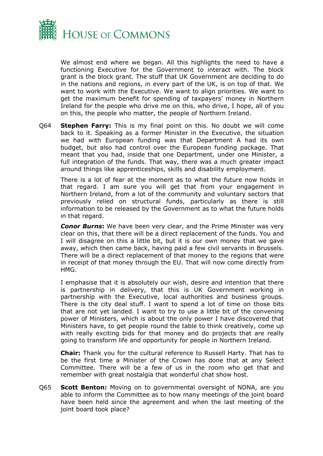

We almost end where we began. All this highlights the need to have a functioning Executive for the Government to interact with. The block grant is the block grant. The stuff that UK Government are deciding to do in the nations and regions, in every part of the UK, is on top of that. We want to work with the Executive. We want to align priorities. We want to get the maximum benefit for spending of taxpayers' money in Northern Ireland for the people who drive me on this, who drive, I hope, all of you on this, the people who matter, the people of Northern Ireland.

Q64 **Stephen Farry:** This is my final point on this. No doubt we will come back to it. Speaking as a former Minister in the Executive, the situation we had with European funding was that Department A had its own budget, but also had control over the European funding package. That meant that you had, inside that one Department, under one Minister, a full integration of the funds. That way, there was a much greater impact around things like apprenticeships, skills and disability employment.

There is a lot of fear at the moment as to what the future now holds in that regard. I am sure you will get that from your engagement in Northern Ireland, from a lot of the community and voluntary sectors that previously relied on structural funds, particularly as there is still information to be released by the Government as to what the future holds in that regard.

*Conor Burns***:** We have been very clear, and the Prime Minister was very clear on this, that there will be a direct replacement of the funds. You and I will disagree on this a little bit, but it is our own money that we gave away, which then came back, having paid a few civil servants in Brussels. There will be a direct replacement of that money to the regions that were in receipt of that money through the EU. That will now come directly from HMG.

I emphasise that it is absolutely our wish, desire and intention that there is partnership in delivery, that this is UK Government working in partnership with the Executive, local authorities and business groups. There is the city deal stuff. I want to spend a lot of time on those bits that are not yet landed. I want to try to use a little bit of the convening power of Ministers, which is about the only power I have discovered that Ministers have, to get people round the table to think creatively, come up with really exciting bids for that money and do projects that are really going to transform life and opportunity for people in Northern Ireland.

**Chair:** Thank you for the cultural reference to Russell Harty. That has to be the first time a Minister of the Crown has done that at any Select Committee. There will be a few of us in the room who get that and remember with great nostalgia that wonderful chat show host.

Q65 **Scott Benton:** Moving on to governmental oversight of NDNA, are you able to inform the Committee as to how many meetings of the joint board have been held since the agreement and when the last meeting of the joint board took place?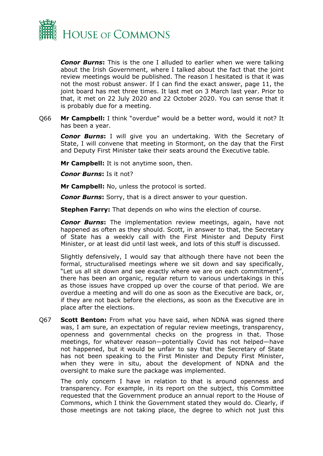

*Conor Burns***:** This is the one I alluded to earlier when we were talking about the Irish Government, where I talked about the fact that the joint review meetings would be published. The reason I hesitated is that it was not the most robust answer. If I can find the exact answer, page 11, the joint board has met three times. It last met on 3 March last year. Prior to that, it met on 22 July 2020 and 22 October 2020. You can sense that it is probably due for a meeting.

Q66 **Mr Campbell:** I think "overdue" would be a better word, would it not? It has been a year.

*Conor Burns***:** I will give you an undertaking. With the Secretary of State, I will convene that meeting in Stormont, on the day that the First and Deputy First Minister take their seats around the Executive table.

**Mr Campbell:** It is not anytime soon, then.

*Conor Burns***:** Is it not?

**Mr Campbell:** No, unless the protocol is sorted.

*Conor Burns***:** Sorry, that is a direct answer to your question.

**Stephen Farry:** That depends on who wins the election of course.

*Conor Burns***:** The implementation review meetings, again, have not happened as often as they should. Scott, in answer to that, the Secretary of State has a weekly call with the First Minister and Deputy First Minister, or at least did until last week, and lots of this stuff is discussed.

Slightly defensively, I would say that although there have not been the formal, structuralised meetings where we sit down and say specifically, "Let us all sit down and see exactly where we are on each commitment", there has been an organic, regular return to various undertakings in this as those issues have cropped up over the course of that period. We are overdue a meeting and will do one as soon as the Executive are back, or, if they are not back before the elections, as soon as the Executive are in place after the elections.

Q67 **Scott Benton:** From what you have said, when NDNA was signed there was, I am sure, an expectation of regular review meetings, transparency, openness and governmental checks on the progress in that. Those meetings, for whatever reason—potentially Covid has not helped—have not happened, but it would be unfair to say that the Secretary of State has not been speaking to the First Minister and Deputy First Minister, when they were in situ, about the development of NDNA and the oversight to make sure the package was implemented.

The only concern I have in relation to that is around openness and transparency. For example, in its report on the subject, this Committee requested that the Government produce an annual report to the House of Commons, which I think the Government stated they would do. Clearly, if those meetings are not taking place, the degree to which not just this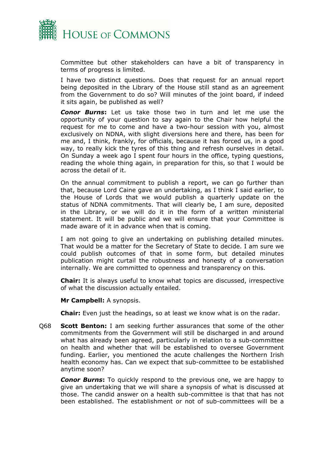

Committee but other stakeholders can have a bit of transparency in terms of progress is limited.

I have two distinct questions. Does that request for an annual report being deposited in the Library of the House still stand as an agreement from the Government to do so? Will minutes of the joint board, if indeed it sits again, be published as well?

*Conor Burns***:** Let us take those two in turn and let me use the opportunity of your question to say again to the Chair how helpful the request for me to come and have a two-hour session with you, almost exclusively on NDNA, with slight diversions here and there, has been for me and, I think, frankly, for officials, because it has forced us, in a good way, to really kick the tyres of this thing and refresh ourselves in detail. On Sunday a week ago I spent four hours in the office, typing questions, reading the whole thing again, in preparation for this, so that I would be across the detail of it.

On the annual commitment to publish a report, we can go further than that, because Lord Caine gave an undertaking, as I think I said earlier, to the House of Lords that we would publish a quarterly update on the status of NDNA commitments. That will clearly be, I am sure, deposited in the Library, or we will do it in the form of a written ministerial statement. It will be public and we will ensure that your Committee is made aware of it in advance when that is coming.

I am not going to give an undertaking on publishing detailed minutes. That would be a matter for the Secretary of State to decide. I am sure we could publish outcomes of that in some form, but detailed minutes publication might curtail the robustness and honesty of a conversation internally. We are committed to openness and transparency on this.

**Chair:** It is always useful to know what topics are discussed, irrespective of what the discussion actually entailed.

**Mr Campbell:** A synopsis.

**Chair:** Even just the headings, so at least we know what is on the radar.

Q68 **Scott Benton:** I am seeking further assurances that some of the other commitments from the Government will still be discharged in and around what has already been agreed, particularly in relation to a sub-committee on health and whether that will be established to oversee Government funding. Earlier, you mentioned the acute challenges the Northern Irish health economy has. Can we expect that sub-committee to be established anytime soon?

*Conor Burns***:** To quickly respond to the previous one, we are happy to give an undertaking that we will share a synopsis of what is discussed at those. The candid answer on a health sub-committee is that that has not been established. The establishment or not of sub-committees will be a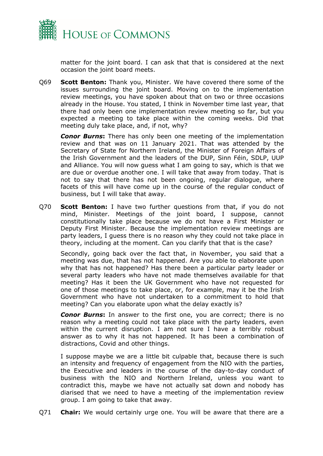

matter for the joint board. I can ask that that is considered at the next occasion the joint board meets.

Q69 **Scott Benton:** Thank you, Minister. We have covered there some of the issues surrounding the joint board. Moving on to the implementation review meetings, you have spoken about that on two or three occasions already in the House. You stated, I think in November time last year, that there had only been one implementation review meeting so far, but you expected a meeting to take place within the coming weeks. Did that meeting duly take place, and, if not, why?

*Conor Burns***:** There has only been one meeting of the implementation review and that was on 11 January 2021. That was attended by the Secretary of State for Northern Ireland, the Minister of Foreign Affairs of the Irish Government and the leaders of the DUP, Sinn Féin, SDLP, UUP and Alliance. You will now guess what I am going to say, which is that we are due or overdue another one. I will take that away from today. That is not to say that there has not been ongoing, regular dialogue, where facets of this will have come up in the course of the regular conduct of business, but I will take that away.

Q70 **Scott Benton:** I have two further questions from that, if you do not mind, Minister. Meetings of the joint board, I suppose, cannot constitutionally take place because we do not have a First Minister or Deputy First Minister. Because the implementation review meetings are party leaders, I guess there is no reason why they could not take place in theory, including at the moment. Can you clarify that that is the case?

Secondly, going back over the fact that, in November, you said that a meeting was due, that has not happened. Are you able to elaborate upon why that has not happened? Has there been a particular party leader or several party leaders who have not made themselves available for that meeting? Has it been the UK Government who have not requested for one of those meetings to take place, or, for example, may it be the Irish Government who have not undertaken to a commitment to hold that meeting? Can you elaborate upon what the delay exactly is?

*Conor Burns*: In answer to the first one, you are correct; there is no reason why a meeting could not take place with the party leaders, even within the current disruption. I am not sure I have a terribly robust answer as to why it has not happened. It has been a combination of distractions, Covid and other things.

I suppose maybe we are a little bit culpable that, because there is such an intensity and frequency of engagement from the NIO with the parties, the Executive and leaders in the course of the day-to-day conduct of business with the NIO and Northern Ireland, unless you want to contradict this, maybe we have not actually sat down and nobody has diarised that we need to have a meeting of the implementation review group. I am going to take that away.

Q71 **Chair:** We would certainly urge one. You will be aware that there are a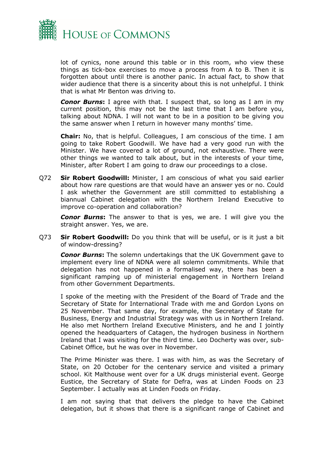

lot of cynics, none around this table or in this room, who view these things as tick-box exercises to move a process from A to B. Then it is forgotten about until there is another panic. In actual fact, to show that wider audience that there is a sincerity about this is not unhelpful. I think that is what Mr Benton was driving to.

*Conor Burns***:** I agree with that. I suspect that, so long as I am in my current position, this may not be the last time that I am before you, talking about NDNA. I will not want to be in a position to be giving you the same answer when I return in however many months' time.

**Chair:** No, that is helpful. Colleagues, I am conscious of the time. I am going to take Robert Goodwill. We have had a very good run with the Minister. We have covered a lot of ground, not exhaustive. There were other things we wanted to talk about, but in the interests of your time, Minister, after Robert I am going to draw our proceedings to a close.

Q72 **Sir Robert Goodwill:** Minister, I am conscious of what you said earlier about how rare questions are that would have an answer yes or no. Could I ask whether the Government are still committed to establishing a biannual Cabinet delegation with the Northern Ireland Executive to improve co-operation and collaboration?

*Conor Burns***:** The answer to that is yes, we are. I will give you the straight answer. Yes, we are.

Q73 **Sir Robert Goodwill:** Do you think that will be useful, or is it just a bit of window-dressing?

*Conor Burns***:** The solemn undertakings that the UK Government gave to implement every line of NDNA were all solemn commitments. While that delegation has not happened in a formalised way, there has been a significant ramping up of ministerial engagement in Northern Ireland from other Government Departments.

I spoke of the meeting with the President of the Board of Trade and the Secretary of State for International Trade with me and Gordon Lyons on 25 November. That same day, for example, the Secretary of State for Business, Energy and Industrial Strategy was with us in Northern Ireland. He also met Northern Ireland Executive Ministers, and he and I jointly opened the headquarters of Catagen, the hydrogen business in Northern Ireland that I was visiting for the third time. Leo Docherty was over, sub-Cabinet Office, but he was over in November.

The Prime Minister was there. I was with him, as was the Secretary of State, on 20 October for the centenary service and visited a primary school. Kit Malthouse went over for a UK drugs ministerial event. George Eustice, the Secretary of State for Defra, was at Linden Foods on 23 September. I actually was at Linden Foods on Friday.

I am not saying that that delivers the pledge to have the Cabinet delegation, but it shows that there is a significant range of Cabinet and